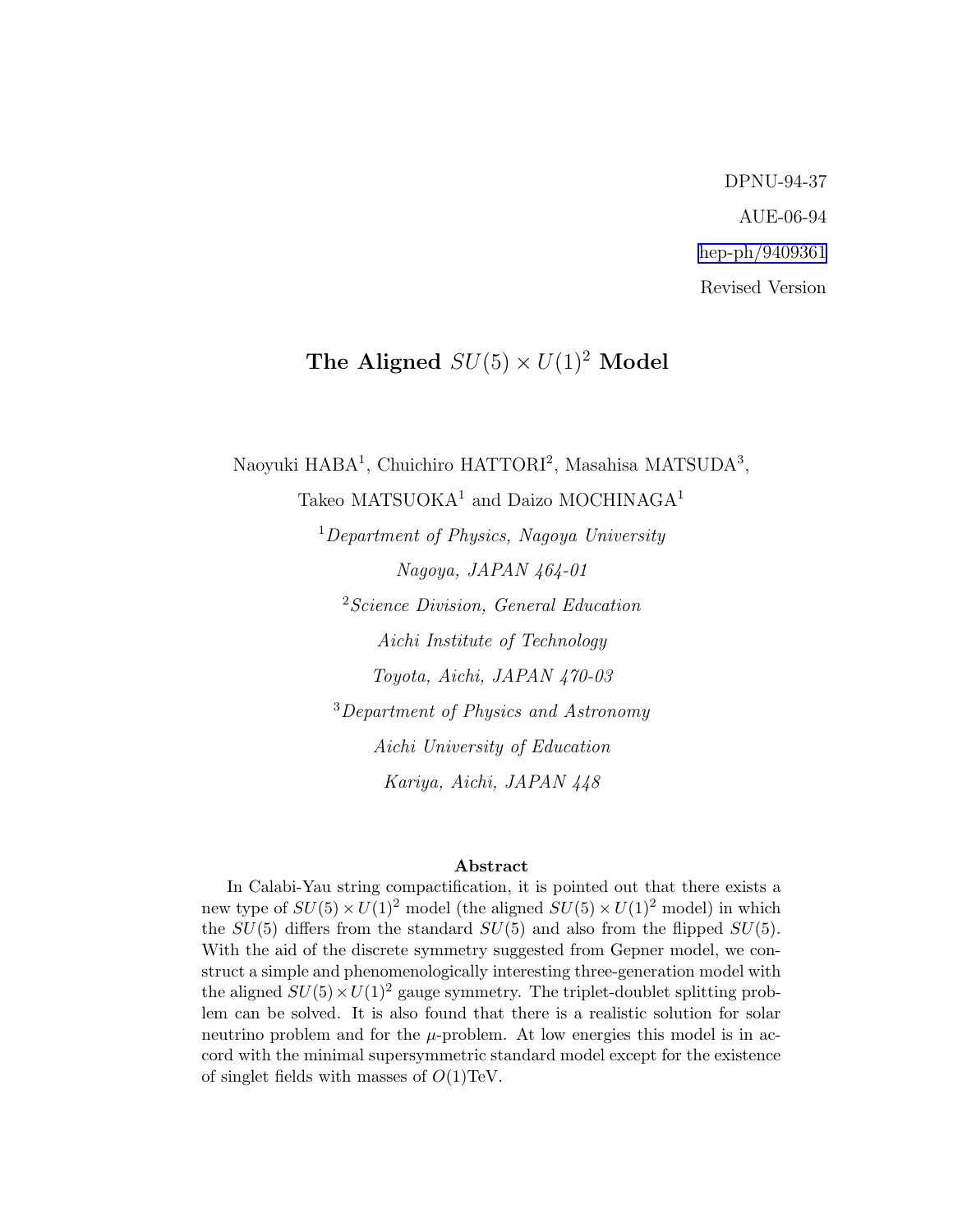DPNU-94-37 AUE-06-94 [hep-ph/9409361](http://arXiv.org/abs/hep-ph/9409361) Revised Version

# The Aligned  $SU(5) \times U(1)^2$  Model

Naoyuki HABA<sup>1</sup>, Chuichiro HATTORI<sup>2</sup>, Masahisa MATSUDA<sup>3</sup>,

Takeo MATSUOKA<sup>1</sup> and Daizo MOCHINAGA<sup>1</sup>

<sup>1</sup>Department of Physics, Nagoya University Nagoya, JAPAN 464-01 <sup>2</sup> Science Division, General Education Aichi Institute of Technology Toyota, Aichi, JAPAN 470-03 <sup>3</sup>Department of Physics and Astronomy Aichi University of Education Kariya, Aichi, JAPAN 448

#### Abstract

In Calabi-Yau string compactification, it is pointed out that there exists a new type of  $SU(5) \times U(1)^2$  model (the aligned  $SU(5) \times U(1)^2$  model) in which the  $SU(5)$  differs from the standard  $SU(5)$  and also from the flipped  $SU(5)$ . With the aid of the discrete symmetry suggested from Gepner model, we construct a simple and phenomenologically interesting three-generation model with the aligned  $SU(5) \times U(1)^2$  gauge symmetry. The triplet-doublet splitting problem can be solved. It is also found that there is a realistic solution for solar neutrino problem and for the  $\mu$ -problem. At low energies this model is in accord with the minimal supersymmetric standard model except for the existence of singlet fields with masses of  $O(1)$ TeV.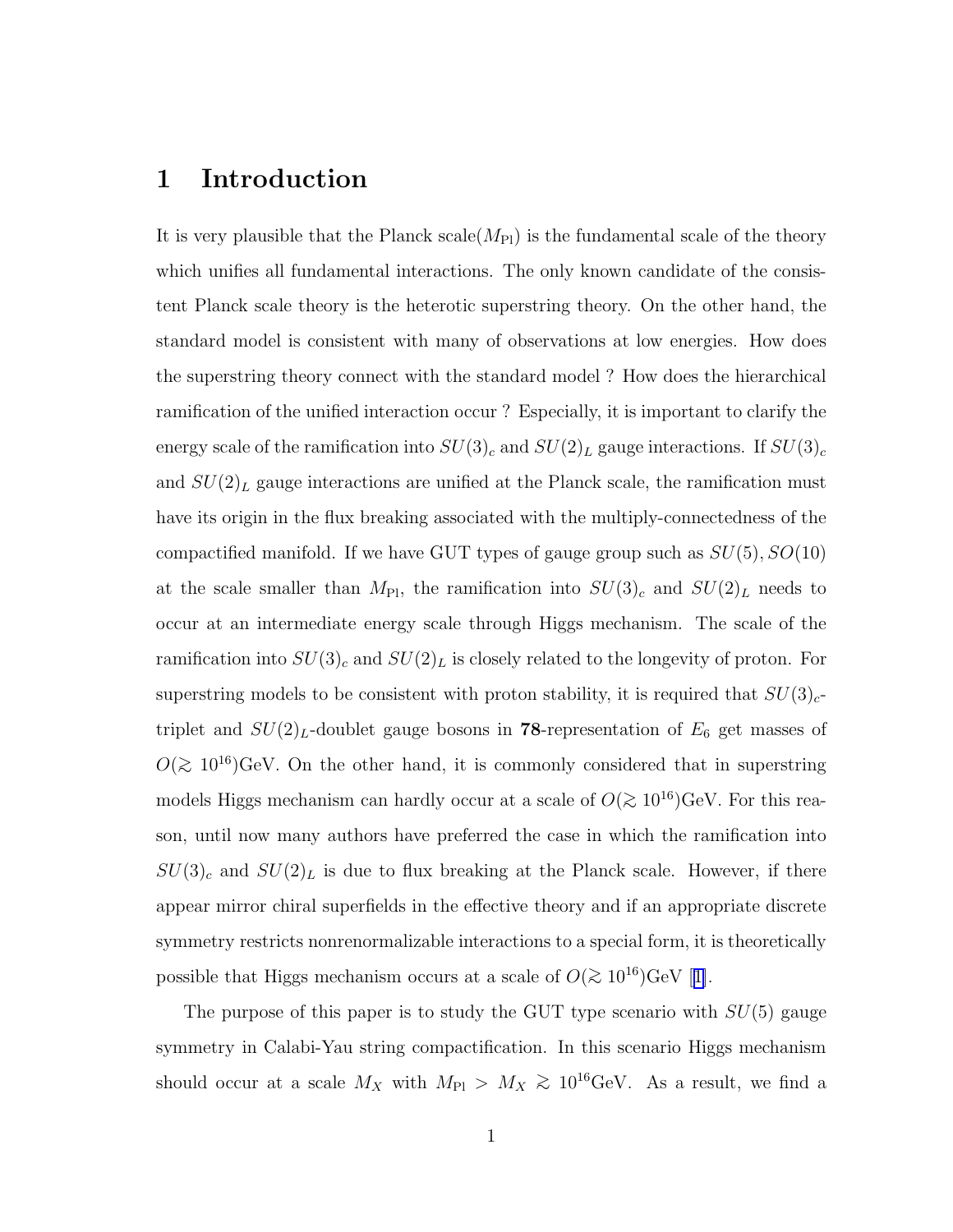## 1 Introduction

It is very plausible that the Planck scale  $(M_{\text{Pl}})$  is the fundamental scale of the theory which unifies all fundamental interactions. The only known candidate of the consistent Planck scale theory is the heterotic superstring theory. On the other hand, the standard model is consistent with many of observations at low energies. How does the superstring theory connect with the standard model ? How does the hierarchical ramification of the unified interaction occur ? Especially, it is important to clarify the energy scale of the ramification into  $SU(3)_c$  and  $SU(2)_L$  gauge interactions. If  $SU(3)_c$ and  $SU(2)_L$  gauge interactions are unified at the Planck scale, the ramification must have its origin in the flux breaking associated with the multiply-connectedness of the compactified manifold. If we have GUT types of gauge group such as  $SU(5)$ ,  $SO(10)$ at the scale smaller than  $M_{\text{Pl}}$ , the ramification into  $SU(3)_c$  and  $SU(2)_L$  needs to occur at an intermediate energy scale through Higgs mechanism. The scale of the ramification into  $SU(3)<sub>c</sub>$  and  $SU(2)<sub>L</sub>$  is closely related to the longevity of proton. For superstring models to be consistent with proton stability, it is required that  $SU(3)<sub>c</sub>$ triplet and  $SU(2)_L$ -doublet gauge bosons in **78**-representation of  $E_6$  get masses of  $O(≥ 10^{16})$ GeV. On the other hand, it is commonly considered that in superstring models Higgs mechanism can hardly occur at a scale of  $O(\gtrsim 10^{16})\text{GeV}$ . For this reason, until now many authors have preferred the case in which the ramification into  $SU(3)_c$  and  $SU(2)_L$  is due to flux breaking at the Planck scale. However, if there appear mirror chiral superfields in the effective theory and if an appropriate discrete symmetry restricts nonrenormalizable interactions to a special form, it is theoretically possiblethat Higgs mechanism occurs at a scale of  $O(\gtrsim 10^{16}){\rm GeV}$  [[1\]](#page-21-0).

The purpose of this paper is to study the GUT type scenario with  $SU(5)$  gauge symmetry in Calabi-Yau string compactification. In this scenario Higgs mechanism should occur at a scale  $M_X$  with  $M_{\text{Pl}} > M_X \geq 10^{16} \text{GeV}$ . As a result, we find a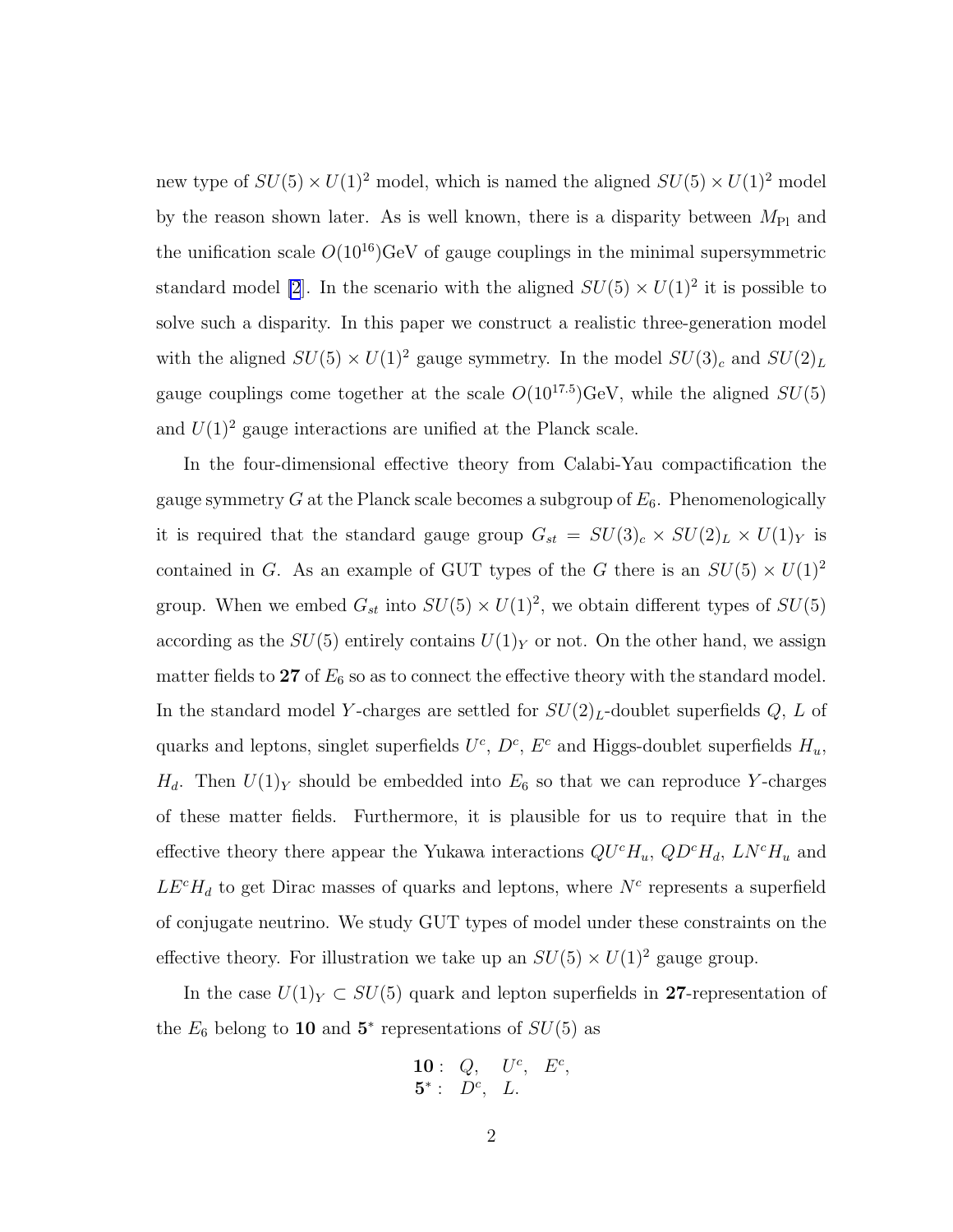new type of  $SU(5) \times U(1)^2$  model, which is named the aligned  $SU(5) \times U(1)^2$  model by the reason shown later. As is well known, there is a disparity between  $M_{\text{Pl}}$  and the unification scale  $O(10^{16})$ GeV of gauge couplings in the minimal supersymmetric standard model [\[2](#page-21-0)]. In the scenario with the aligned  $SU(5) \times U(1)^2$  it is possible to solve such a disparity. In this paper we construct a realistic three-generation model with the aligned  $SU(5) \times U(1)^2$  gauge symmetry. In the model  $SU(3)_c$  and  $SU(2)_L$ gauge couplings come together at the scale  $O(10^{17.5})$ GeV, while the aligned  $SU(5)$ and  $U(1)^2$  gauge interactions are unified at the Planck scale.

In the four-dimensional effective theory from Calabi-Yau compactification the gauge symmetry G at the Planck scale becomes a subgroup of  $E_6$ . Phenomenologically it is required that the standard gauge group  $G_{st} = SU(3)_c \times SU(2)_L \times U(1)_Y$  is contained in G. As an example of GUT types of the G there is an  $SU(5) \times U(1)^2$ group. When we embed  $G_{st}$  into  $SU(5) \times U(1)^2$ , we obtain different types of  $SU(5)$ according as the  $SU(5)$  entirely contains  $U(1)_Y$  or not. On the other hand, we assign matter fields to 27 of  $E_6$  so as to connect the effective theory with the standard model. In the standard model Y-charges are settled for  $SU(2)_L$ -doublet superfields Q, L of quarks and leptons, singlet superfields  $U^c$ ,  $D^c$ ,  $E^c$  and Higgs-doublet superfields  $H_u$ ,  $H_d$ . Then  $U(1)_Y$  should be embedded into  $E_6$  so that we can reproduce Y-charges of these matter fields. Furthermore, it is plausible for us to require that in the effective theory there appear the Yukawa interactions  $QU<sup>c</sup>H<sub>u</sub>$ ,  $QD<sup>c</sup>H<sub>d</sub>$ ,  $LN<sup>c</sup>H<sub>u</sub>$  and  $LE<sup>c</sup>H<sub>d</sub>$  to get Dirac masses of quarks and leptons, where  $N<sup>c</sup>$  represents a superfield of conjugate neutrino. We study GUT types of model under these constraints on the effective theory. For illustration we take up an  $SU(5) \times U(1)^2$  gauge group.

In the case  $U(1)_Y \subset SU(5)$  quark and lepton superfields in 27-representation of the  $E_6$  belong to 10 and  $5^*$  representations of  $SU(5)$  as

**10**: Q, 
$$
U^c
$$
,  $E^c$ ,  
**5**<sup>\*</sup>:  $D^c$ , *L*.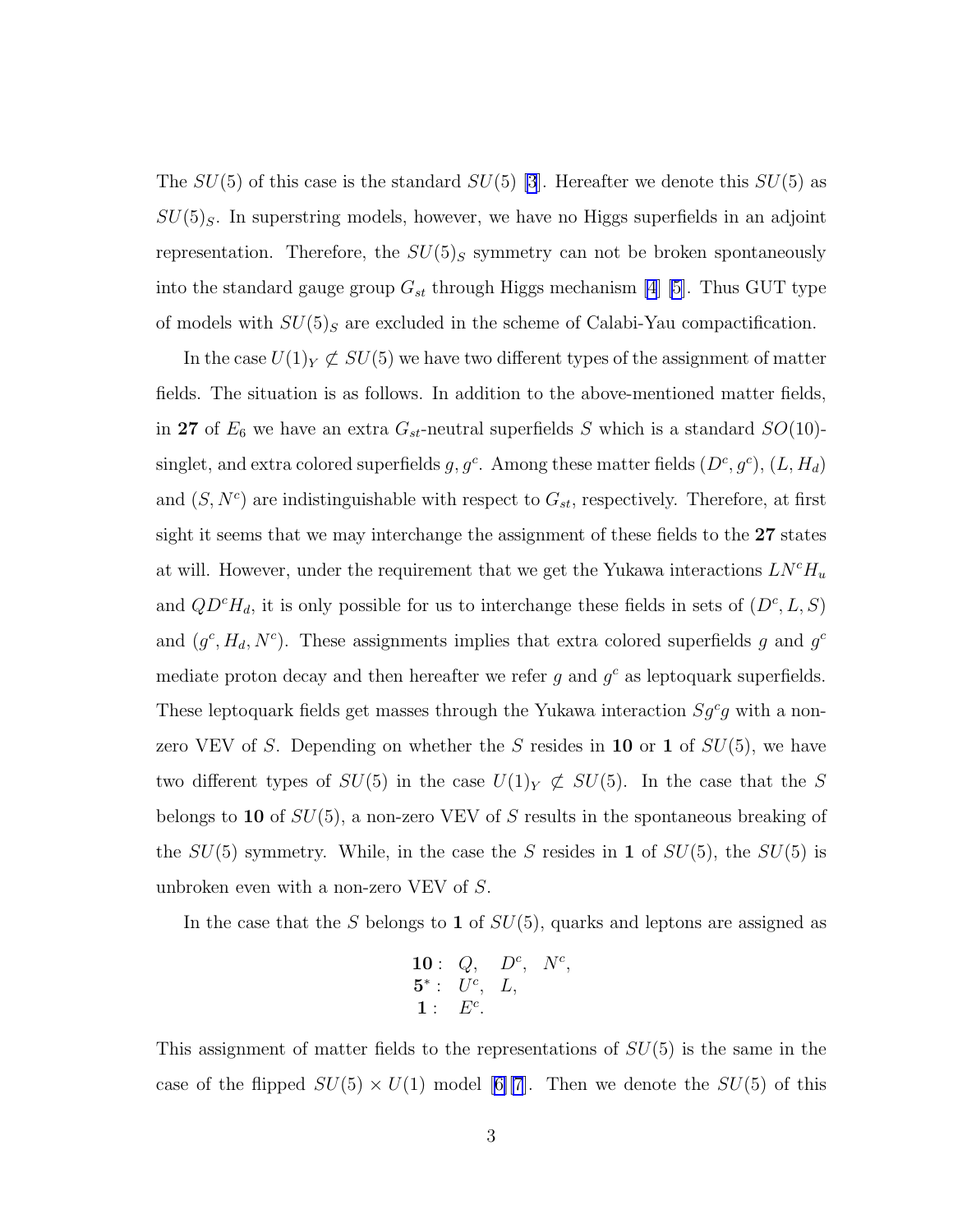The  $SU(5)$  of this case is the standard  $SU(5)$  [\[3](#page-21-0)]. Hereafter we denote this  $SU(5)$  as  $SU(5)_S$ . In superstring models, however, we have no Higgs superfields in an adjoint representation. Therefore, the  $SU(5)_S$  symmetry can not be broken spontaneously into the standard gauge group  $G_{st}$  through Higgs mechanism [\[4](#page-21-0)] [\[5](#page-21-0)]. Thus GUT type of models with  $SU(5)_S$  are excluded in the scheme of Calabi-Yau compactification.

In the case  $U(1)_Y \not\subset SU(5)$  we have two different types of the assignment of matter fields. The situation is as follows. In addition to the above-mentioned matter fields, in 27 of  $E_6$  we have an extra  $G_{st}$ -neutral superfields S which is a standard  $SO(10)$ singlet, and extra colored superfields  $g, g^c$ . Among these matter fields  $(D^c, g^c)$ ,  $(L, H_d)$ and  $(S, N<sup>c</sup>)$  are indistinguishable with respect to  $G<sub>st</sub>$ , respectively. Therefore, at first sight it seems that we may interchange the assignment of these fields to the 27 states at will. However, under the requirement that we get the Yukawa interactions  $L N^c H_u$ and  $QD^cH_d$ , it is only possible for us to interchange these fields in sets of  $(D^c, L, S)$ and  $(g^c, H_d, N^c)$ . These assignments implies that extra colored superfields g and  $g^c$ mediate proton decay and then hereafter we refer  $g$  and  $g^c$  as leptoquark superfields. These leptoquark fields get masses through the Yukawa interaction  $Sg^c g$  with a nonzero VEV of S. Depending on whether the S resides in 10 or 1 of  $SU(5)$ , we have two different types of  $SU(5)$  in the case  $U(1)_Y \not\subset SU(5)$ . In the case that the S belongs to 10 of SU(5), a non-zero VEV of S results in the spontaneous breaking of the  $SU(5)$  symmetry. While, in the case the S resides in 1 of  $SU(5)$ , the  $SU(5)$  is unbroken even with a non-zero VEV of S.

In the case that the S belongs to 1 of  $SU(5)$ , quarks and leptons are assigned as

**10**: Q, 
$$
D^c
$$
,  $N^c$ ,  
\n**5**\* :  $U^c$ ,  $L$ ,  
\n**1**:  $E^c$ .

This assignment of matter fields to the representations of  $SU(5)$  is the same in the caseof the flipped  $SU(5) \times U(1)$  model [[6\]\[7](#page-21-0)]. Then we denote the  $SU(5)$  of this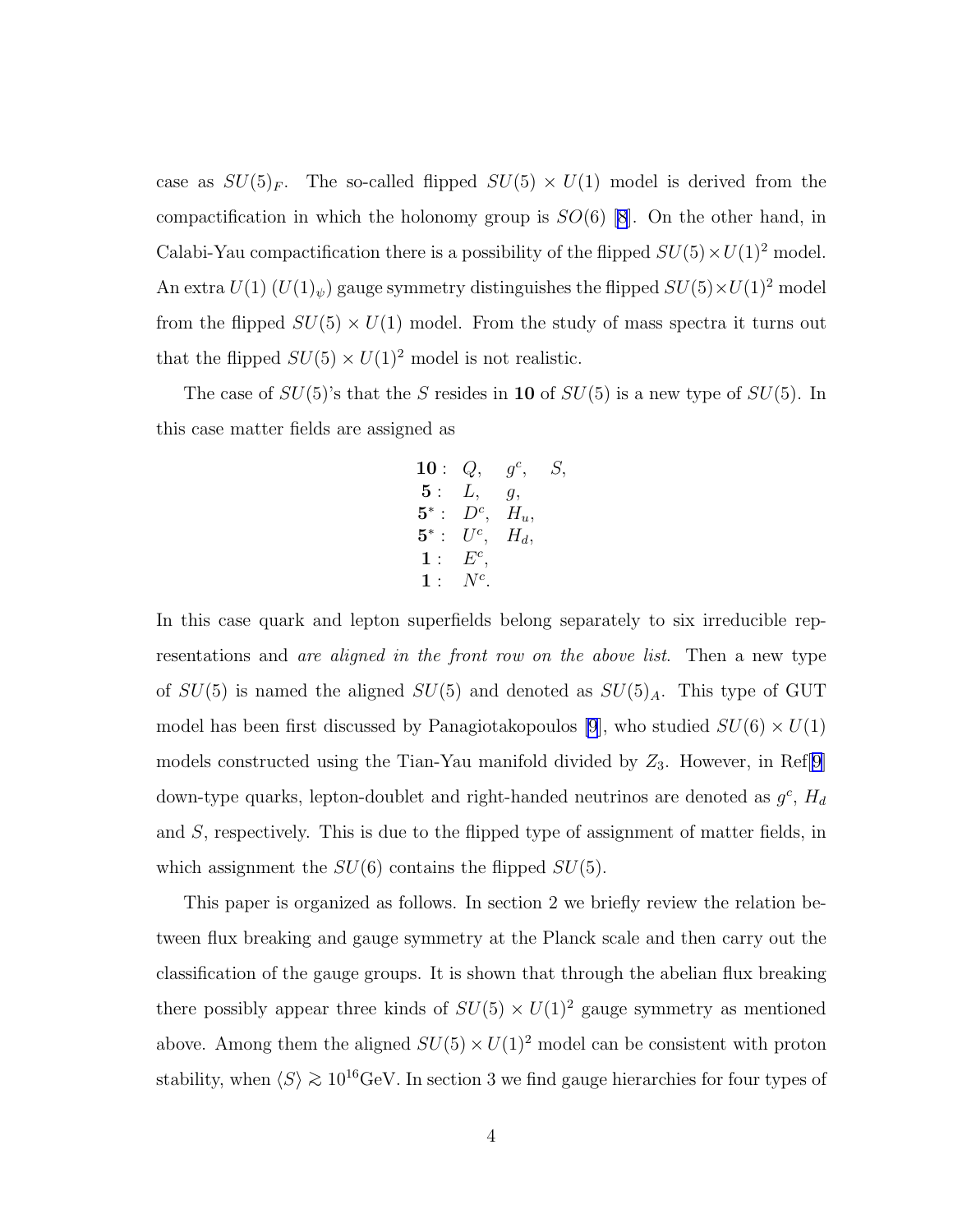case as  $SU(5)_F$ . The so-called flipped  $SU(5) \times U(1)$  model is derived from the compactification in which the holonomy group is  $SO(6)$  [\[8](#page-21-0)]. On the other hand, in Calabi-Yau compactification there is a possibility of the flipped  $SU(5) \times U(1)^2$  model. An extra  $U(1)$   $(U(1)_\psi)$  gauge symmetry distinguishes the flipped  $SU(5)\times U(1)^2$  model from the flipped  $SU(5) \times U(1)$  model. From the study of mass spectra it turns out that the flipped  $SU(5)\times U(1)^2$  model is not realistic.

The case of  $SU(5)$ 's that the S resides in 10 of  $SU(5)$  is a new type of  $SU(5)$ . In this case matter fields are assigned as

**10**: Q, 
$$
g^c
$$
, S,  
\n**5**: L, g,  
\n**5**\* : D<sup>c</sup>, H<sub>u</sub>,  
\n**5**\* : U<sup>c</sup>, H<sub>d</sub>,  
\n**1**: E<sup>c</sup>,  
\n**1**: N<sup>c</sup>.

In this case quark and lepton superfields belong separately to six irreducible representations and *are aligned in the front row on the above list*. Then a new type of  $SU(5)$  is named the aligned  $SU(5)$  and denoted as  $SU(5)_A$ . This type of GUT model has been first discussed by Panagiotakopoulos [\[9](#page-22-0)], who studied  $SU(6) \times U(1)$ models constructed using the Tian-Yau manifold divided by  $Z_3$ . However, in Ref[\[9](#page-22-0)] down-type quarks, lepton-doublet and right-handed neutrinos are denoted as  $g^c$ ,  $H_d$ and S, respectively. This is due to the flipped type of assignment of matter fields, in which assignment the  $SU(6)$  contains the flipped  $SU(5)$ .

This paper is organized as follows. In section 2 we briefly review the relation between flux breaking and gauge symmetry at the Planck scale and then carry out the classification of the gauge groups. It is shown that through the abelian flux breaking there possibly appear three kinds of  $SU(5) \times U(1)^2$  gauge symmetry as mentioned above. Among them the aligned  $SU(5) \times U(1)^2$  model can be consistent with proton stability, when  $\langle S \rangle \gtrsim 10^{16} \text{GeV}$ . In section 3 we find gauge hierarchies for four types of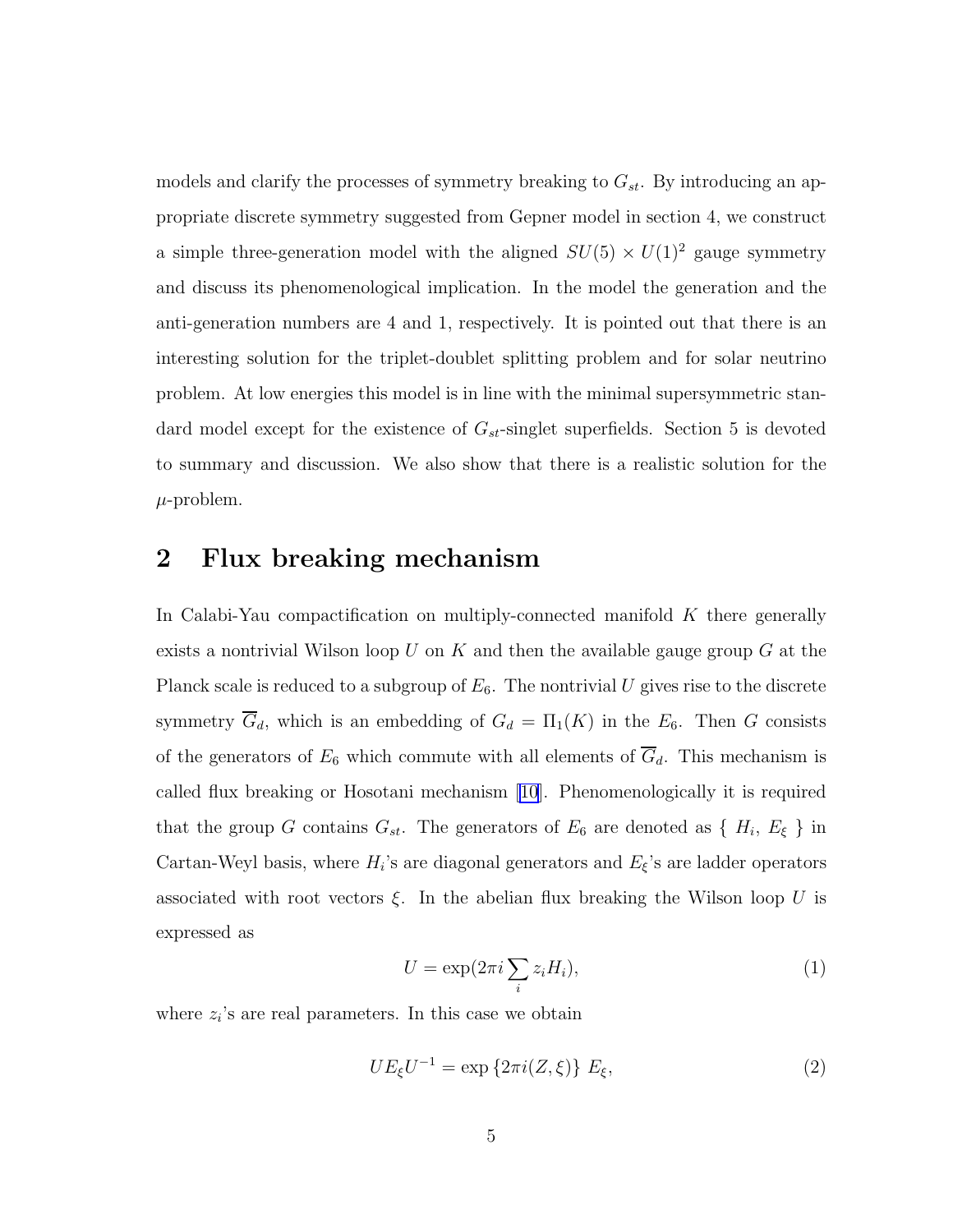models and clarify the processes of symmetry breaking to  $G_{st}$ . By introducing an appropriate discrete symmetry suggested from Gepner model in section 4, we construct a simple three-generation model with the aligned  $SU(5) \times U(1)^2$  gauge symmetry and discuss its phenomenological implication. In the model the generation and the anti-generation numbers are 4 and 1, respectively. It is pointed out that there is an interesting solution for the triplet-doublet splitting problem and for solar neutrino problem. At low energies this model is in line with the minimal supersymmetric standard model except for the existence of  $G_{st}$ -singlet superfields. Section 5 is devoted to summary and discussion. We also show that there is a realistic solution for the  $\mu$ -problem.

## 2 Flux breaking mechanism

In Calabi-Yau compactification on multiply-connected manifold  $K$  there generally exists a nontrivial Wilson loop U on K and then the available gauge group  $G$  at the Planck scale is reduced to a subgroup of  $E_6$ . The nontrivial U gives rise to the discrete symmetry  $\overline{G}_d$ , which is an embedding of  $G_d = \Pi_1(K)$  in the  $E_6$ . Then G consists of the generators of  $E_6$  which commute with all elements of  $\overline{G}_d$ . This mechanism is called flux breaking or Hosotani mechanism [\[10](#page-22-0)]. Phenomenologically it is required that the group G contains  $G_{st}$ . The generators of  $E_6$  are denoted as  $\{H_i, E_{\xi}\}\$ in Cartan-Weyl basis, where  $H_i$ 's are diagonal generators and  $E_{\xi}$ 's are ladder operators associated with root vectors  $\xi$ . In the abelian flux breaking the Wilson loop U is expressed as

$$
U = \exp(2\pi i \sum_{i} z_i H_i),\tag{1}
$$

where  $z_i$ 's are real parameters. In this case we obtain

$$
UE_{\xi}U^{-1} = \exp\left\{2\pi i(Z,\xi)\right\} E_{\xi},\tag{2}
$$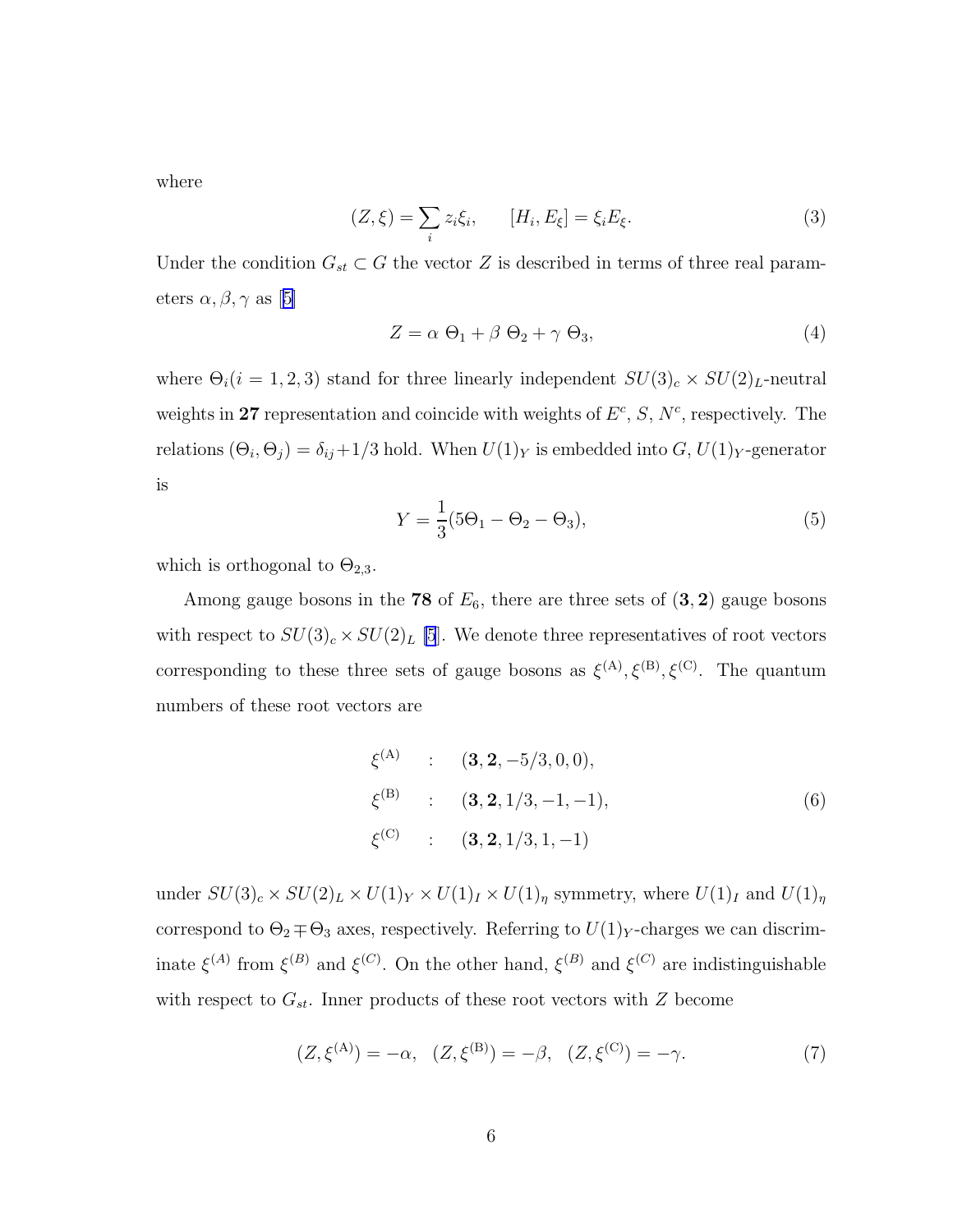where

$$
(Z,\xi) = \sum_{i} z_i \xi_i, \qquad [H_i, E_{\xi}] = \xi_i E_{\xi}.
$$
\n
$$
(3)
$$

Under the condition  $G_{st} \subset G$  the vector Z is described in terms of three real param-eters $\alpha, \beta, \gamma$  as [[5\]](#page-21-0)

$$
Z = \alpha \Theta_1 + \beta \Theta_2 + \gamma \Theta_3, \tag{4}
$$

where  $\Theta_i(i = 1, 2, 3)$  stand for three linearly independent  $SU(3)_c \times SU(2)_L$ -neutral weights in 27 representation and coincide with weights of  $E^c$ , S,  $N^c$ , respectively. The relations  $(\Theta_i, \Theta_j) = \delta_{ij} + 1/3$  hold. When  $U(1)_Y$  is embedded into  $G, U(1)_Y$ -generator is

$$
Y = \frac{1}{3}(5\Theta_1 - \Theta_2 - \Theta_3),
$$
\n(5)

which is orthogonal to  $\Theta_{2,3}$ .

Among gauge bosons in the 78 of  $E_6$ , there are three sets of  $(3, 2)$  gauge bosons with respect to  $SU(3)_c \times SU(2)_L$  [\[5](#page-21-0)]. We denote three representatives of root vectors corresponding to these three sets of gauge bosons as  $\xi^{(A)}, \xi^{(B)}, \xi^{(C)}$ . The quantum numbers of these root vectors are

$$
\xi^{(A)} : (\mathbf{3}, \mathbf{2}, -5/3, 0, 0), \n\xi^{(B)} : (\mathbf{3}, \mathbf{2}, 1/3, -1, -1), \n\xi^{(C)} : (\mathbf{3}, \mathbf{2}, 1/3, 1, -1)
$$
\n(6)

under  $SU(3)_c \times SU(2)_L \times U(1)_Y \times U(1)_I \times U(1)_\eta$  symmetry, where  $U(1)_I$  and  $U(1)_\eta$ correspond to  $\Theta_2 \mp \Theta_3$  axes, respectively. Referring to  $U(1)_Y$ -charges we can discriminate  $\xi^{(A)}$  from  $\xi^{(B)}$  and  $\xi^{(C)}$ . On the other hand,  $\xi^{(B)}$  and  $\xi^{(C)}$  are indistinguishable with respect to  $G_{st}$ . Inner products of these root vectors with Z become

$$
(Z, \xi^{(A)}) = -\alpha, \quad (Z, \xi^{(B)}) = -\beta, \quad (Z, \xi^{(C)}) = -\gamma. \tag{7}
$$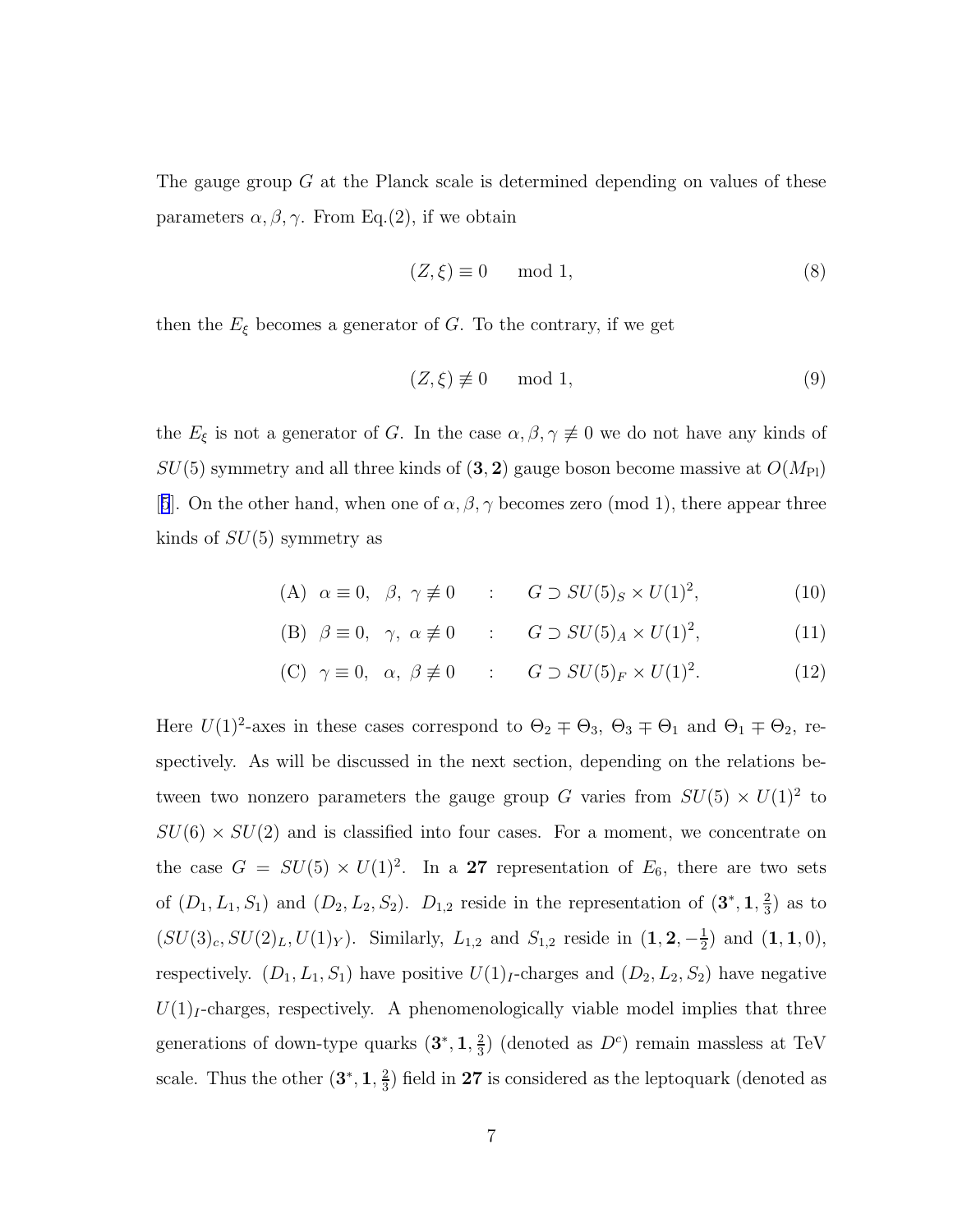The gauge group G at the Planck scale is determined depending on values of these parameters  $\alpha, \beta, \gamma$ . From Eq.(2), if we obtain

$$
(Z,\xi) \equiv 0 \mod 1,\tag{8}
$$

then the  $E_{\xi}$  becomes a generator of G. To the contrary, if we get

$$
(Z,\xi) \not\equiv 0 \mod 1,\tag{9}
$$

the  $E_{\xi}$  is not a generator of G. In the case  $\alpha, \beta, \gamma \neq 0$  we do not have any kinds of  $SU(5)$  symmetry and all three kinds of  $(3, 2)$  gauge boson become massive at  $O(M_{\text{Pl}})$ [[5](#page-21-0)]. On the other hand, when one of  $\alpha, \beta, \gamma$  becomes zero (mod 1), there appear three kinds of  $SU(5)$  symmetry as

(A) 
$$
\alpha \equiv 0, \ \beta, \ \gamma \not\equiv 0
$$
 :  $G \supset SU(5)_S \times U(1)^2$ , (10)

(B) 
$$
\beta \equiv 0, \quad \gamma, \quad \alpha \not\equiv 0
$$
 :  $G \supset SU(5)_A \times U(1)^2,$  (11)

(C) 
$$
\gamma \equiv 0
$$
,  $\alpha$ ,  $\beta \not\equiv 0$  :  $G \supset SU(5)_F \times U(1)^2$ . (12)

Here  $U(1)^2$ -axes in these cases correspond to  $\Theta_2 \mp \Theta_3$ ,  $\Theta_3 \mp \Theta_1$  and  $\Theta_1 \mp \Theta_2$ , respectively. As will be discussed in the next section, depending on the relations between two nonzero parameters the gauge group G varies from  $SU(5) \times U(1)^2$  to  $SU(6) \times SU(2)$  and is classified into four cases. For a moment, we concentrate on the case  $G = SU(5) \times U(1)^2$ . In a 27 representation of  $E_6$ , there are two sets of  $(D_1, L_1, S_1)$  and  $(D_2, L_2, S_2)$ .  $D_{1,2}$  reside in the representation of  $(3^*, 1, \frac{2}{3})$  $(\frac{2}{3})$  as to  $(SU(3)_c, SU(2)_L, U(1)_Y)$ . Similarly,  $L_{1,2}$  and  $S_{1,2}$  reside in  $(1, 2, -\frac{1}{2})$  $(\frac{1}{2})$  and  $(1, 1, 0)$ , respectively.  $(D_1, L_1, S_1)$  have positive  $U(1)<sub>I</sub>$ -charges and  $(D_2, L_2, S_2)$  have negative  $U(1)<sub>I</sub>$ -charges, respectively. A phenomenologically viable model implies that three generations of down-type quarks  $(3^*, 1, \frac{2}{3})$  $\frac{2}{3}$ ) (denoted as  $D^c$ ) remain massless at TeV scale. Thus the other  $(3^*, 1, \frac{2}{3})$  $\frac{2}{3}$ ) field in 27 is considered as the leptoquark (denoted as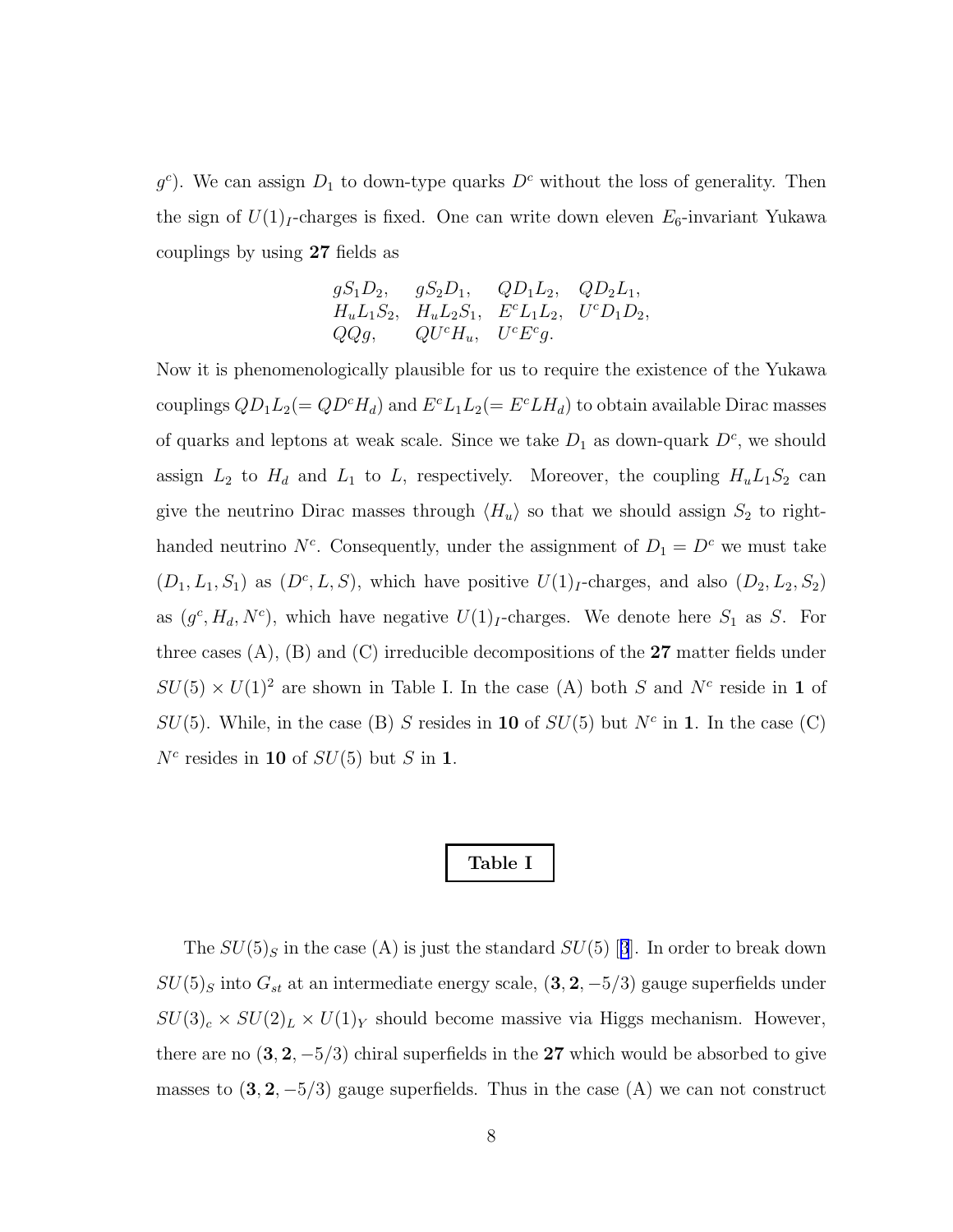$g^c$ ). We can assign  $D_1$  to down-type quarks  $D^c$  without the loss of generality. Then the sign of  $U(1)<sub>I</sub>$ -charges is fixed. One can write down eleven  $E_6$ -invariant Yukawa couplings by using 27 fields as

$$
gS_1D_2
$$
,  $gS_2D_1$ ,  $QD_1L_2$ ,  $QD_2L_1$ ,  
\n $H_uL_1S_2$ ,  $H_uL_2S_1$ ,  $E^cL_1L_2$ ,  $U^cD_1D_2$ ,  
\n $QQg$ ,  $QU^cH_u$ ,  $U^cE^cg$ .

Now it is phenomenologically plausible for us to require the existence of the Yukawa couplings  $QD_1L_2(= QD^cH_d)$  and  $E^cL_1L_2(= E^cLH_d)$  to obtain available Dirac masses of quarks and leptons at weak scale. Since we take  $D_1$  as down-quark  $D<sup>c</sup>$ , we should assign  $L_2$  to  $H_d$  and  $L_1$  to  $L$ , respectively. Moreover, the coupling  $H_u L_1 S_2$  can give the neutrino Dirac masses through  $\langle H_u \rangle$  so that we should assign  $S_2$  to righthanded neutrino  $N^c$ . Consequently, under the assignment of  $D_1 = D^c$  we must take  $(D_1, L_1, S_1)$  as  $(D^c, L, S)$ , which have positive  $U(1)_I$ -charges, and also  $(D_2, L_2, S_2)$ as  $(g^c, H_d, N^c)$ , which have negative  $U(1)_I$ -charges. We denote here  $S_1$  as S. For three cases  $(A)$ ,  $(B)$  and  $(C)$  irreducible decompositions of the 27 matter fields under  $SU(5) \times U(1)^2$  are shown in Table I. In the case (A) both S and N<sup>c</sup> reside in 1 of  $SU(5)$ . While, in the case (B) S resides in 10 of  $SU(5)$  but  $N<sup>c</sup>$  in 1. In the case (C)  $N^c$  resides in 10 of  $SU(5)$  but S in 1.

### Table I

The $SU(5)_S$  in the case (A) is just the standard  $SU(5)$  [[3](#page-21-0)]. In order to break down  $SU(5)_S$  into  $G_{st}$  at an intermediate energy scale,  $(3, 2, -5/3)$  gauge superfields under  $SU(3)_c \times SU(2)_L \times U(1)_Y$  should become massive via Higgs mechanism. However, there are no  $(3, 2, -5/3)$  chiral superfields in the 27 which would be absorbed to give masses to  $(3, 2, -5/3)$  gauge superfields. Thus in the case  $(A)$  we can not construct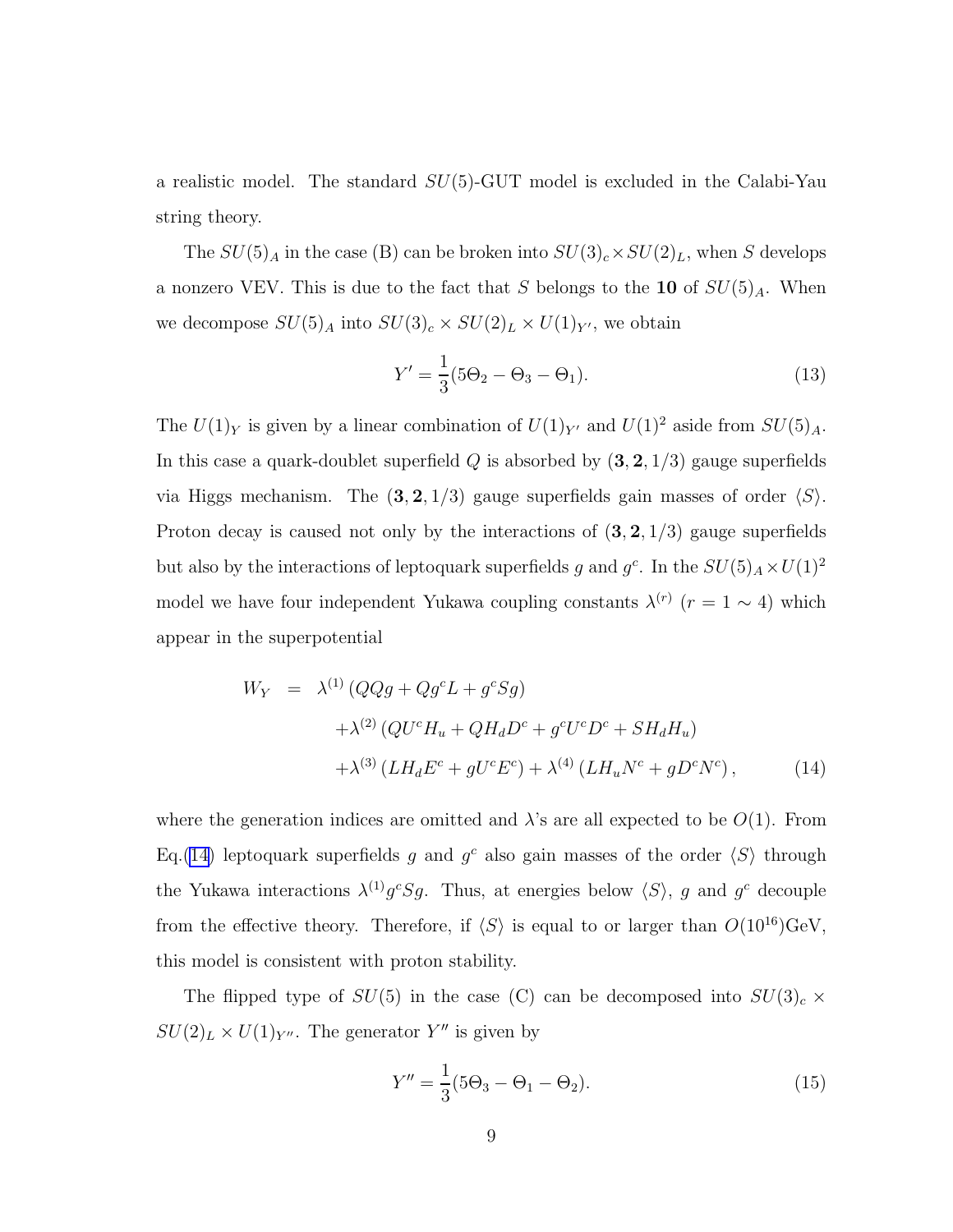<span id="page-9-0"></span>a realistic model. The standard  $SU(5)$ -GUT model is excluded in the Calabi-Yau string theory.

The  $SU(5)_A$  in the case (B) can be broken into  $SU(3)_c \times SU(2)_L$ , when S develops a nonzero VEV. This is due to the fact that S belongs to the 10 of  $SU(5)_A$ . When we decompose  $SU(5)_A$  into  $SU(3)_c \times SU(2)_L \times U(1)_{Y'}$ , we obtain

$$
Y' = \frac{1}{3}(5\Theta_2 - \Theta_3 - \Theta_1).
$$
 (13)

The  $U(1)_Y$  is given by a linear combination of  $U(1)_{Y'}$  and  $U(1)^2$  aside from  $SU(5)_A$ . In this case a quark-doublet superfield  $Q$  is absorbed by  $(3, 2, 1/3)$  gauge superfields via Higgs mechanism. The  $(3, 2, 1/3)$  gauge superfields gain masses of order  $\langle S \rangle$ . Proton decay is caused not only by the interactions of  $(3, 2, 1/3)$  gauge superfields but also by the interactions of leptoquark superfields g and  $g^c$ . In the  $SU(5)_A \times U(1)^2$ model we have four independent Yukawa coupling constants  $\lambda^{(r)}$  ( $r = 1 \sim 4$ ) which appear in the superpotential

$$
W_Y = \lambda^{(1)} (QQg + Qg^c L + g^c Sg)
$$
  
+ 
$$
\lambda^{(2)} (QU^c H_u + QH_d D^c + g^c U^c D^c + S H_d H_u)
$$
  
+ 
$$
\lambda^{(3)} (L H_d E^c + gU^c E^c) + \lambda^{(4)} (L H_u N^c + g D^c N^c),
$$
 (14)

where the generation indices are omitted and  $\lambda$ 's are all expected to be  $O(1)$ . From Eq.(14) leptoquark superfields g and  $g^c$  also gain masses of the order  $\langle S \rangle$  through the Yukawa interactions  $\lambda^{(1)}g^cSg$ . Thus, at energies below  $\langle S \rangle$ , g and  $g^c$  decouple from the effective theory. Therefore, if  $\langle S \rangle$  is equal to or larger than  $O(10^{16})\text{GeV}$ , this model is consistent with proton stability.

The flipped type of  $SU(5)$  in the case (C) can be decomposed into  $SU(3)_c \times$  $SU(2)_L \times U(1)_{Y''}$ . The generator  $Y''$  is given by

$$
Y'' = \frac{1}{3}(5\Theta_3 - \Theta_1 - \Theta_2).
$$
 (15)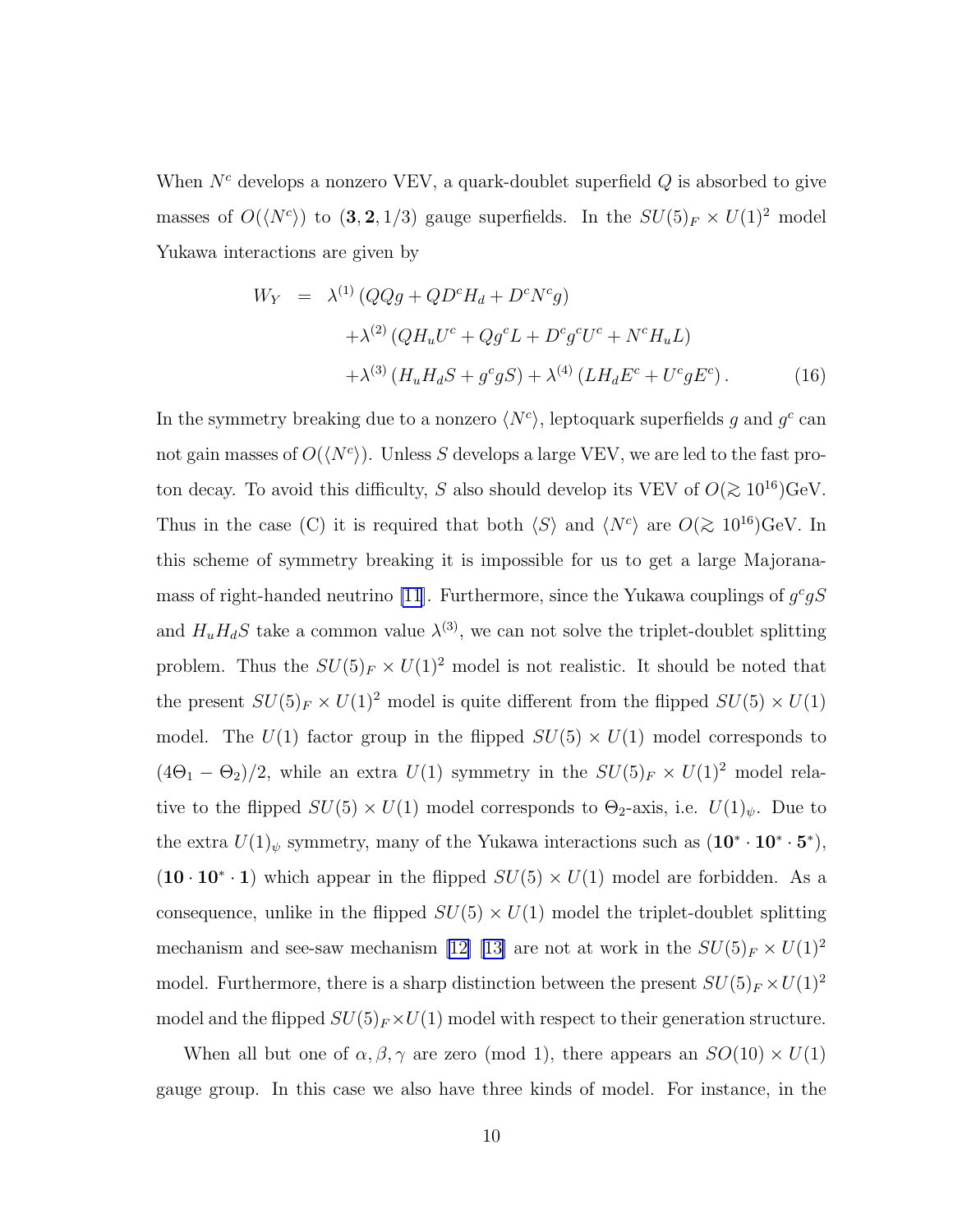When  $N<sup>c</sup>$  develops a nonzero VEV, a quark-doublet superfield  $Q$  is absorbed to give masses of  $O(\langle N^c \rangle)$  to  $(3, 2, 1/3)$  gauge superfields. In the  $SU(5)_F \times U(1)^2$  model Yukawa interactions are given by

$$
W_Y = \lambda^{(1)} \left( QQg + QD^c H_d + D^c N^c g \right)
$$
  
+ 
$$
\lambda^{(2)} \left( QH_u U^c + Qg^c L + D^c g^c U^c + N^c H_u L \right)
$$
  
+ 
$$
\lambda^{(3)} \left( H_u H_d S + g^c g S \right) + \lambda^{(4)} \left( L H_d E^c + U^c g E^c \right).
$$
 (16)

In the symmetry breaking due to a nonzero  $\langle N^c \rangle$ , leptoquark superfields g and  $g^c$  can not gain masses of  $O(\langle N^c \rangle)$ . Unless S develops a large VEV, we are led to the fast proton decay. To avoid this difficulty, S also should develop its VEV of  $O(\gtrsim 10^{16}){\rm GeV}.$ Thus in the case (C) it is required that both  $\langle S \rangle$  and  $\langle N^c \rangle$  are  $O(\gtrsim 10^{16}){\rm GeV}$ . In this scheme of symmetry breaking it is impossible for us to get a large Majorana-mass of right-handed neutrino [\[11](#page-22-0)]. Furthermore, since the Yukawa couplings of  $g^c gS$ and  $H_u H_d S$  take a common value  $\lambda^{(3)}$ , we can not solve the triplet-doublet splitting problem. Thus the  $SU(5)_F \times U(1)^2$  model is not realistic. It should be noted that the present  $SU(5)_F \times U(1)^2$  model is quite different from the flipped  $SU(5) \times U(1)$ model. The  $U(1)$  factor group in the flipped  $SU(5) \times U(1)$  model corresponds to  $(4\Theta_1 - \Theta_2)/2$ , while an extra  $U(1)$  symmetry in the  $SU(5)_F \times U(1)^2$  model relative to the flipped  $SU(5) \times U(1)$  model corresponds to  $\Theta_2$ -axis, i.e.  $U(1)_{\psi}$ . Due to the extra  $U(1)_{\psi}$  symmetry, many of the Yukawa interactions such as  $(10^* \cdot 10^* \cdot 5^*)$ ,  $(10 \cdot 10^* \cdot 1)$  which appear in the flipped  $SU(5) \times U(1)$  model are forbidden. As a consequence, unlike in the flipped  $SU(5) \times U(1)$  model the triplet-doublet splitting mechanismand see-saw mechanism [[12\] \[13\]](#page-22-0) are not at work in the  $SU(5)_F \times U(1)^2$ model. Furthermore, there is a sharp distinction between the present  $SU(5)_F \times U(1)^2$ model and the flipped  $SU(5)_F \times U(1)$  model with respect to their generation structure.

When all but one of  $\alpha, \beta, \gamma$  are zero (mod 1), there appears an  $SO(10) \times U(1)$ gauge group. In this case we also have three kinds of model. For instance, in the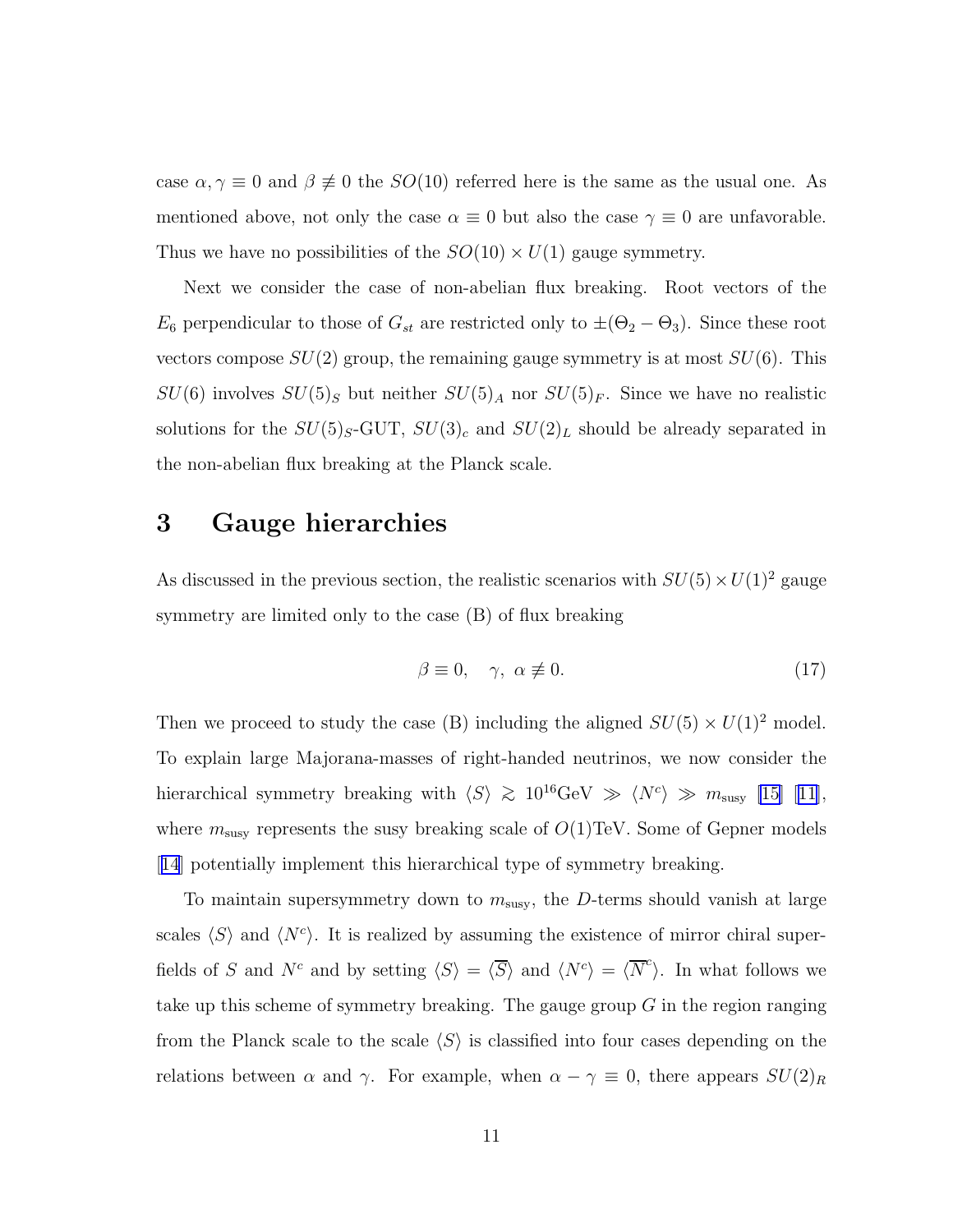case  $\alpha, \gamma \equiv 0$  and  $\beta \not\equiv 0$  the  $SO(10)$  referred here is the same as the usual one. As mentioned above, not only the case  $\alpha \equiv 0$  but also the case  $\gamma \equiv 0$  are unfavorable. Thus we have no possibilities of the  $SO(10) \times U(1)$  gauge symmetry.

Next we consider the case of non-abelian flux breaking. Root vectors of the  $E_6$  perpendicular to those of  $G_{st}$  are restricted only to  $\pm(\Theta_2-\Theta_3)$ . Since these root vectors compose  $SU(2)$  group, the remaining gauge symmetry is at most  $SU(6)$ . This  $SU(6)$  involves  $SU(5)_S$  but neither  $SU(5)_A$  nor  $SU(5)_F$ . Since we have no realistic solutions for the  $SU(5)_S$ -GUT,  $SU(3)_c$  and  $SU(2)_L$  should be already separated in the non-abelian flux breaking at the Planck scale.

## 3 Gauge hierarchies

As discussed in the previous section, the realistic scenarios with  $SU(5) \times U(1)^2$  gauge symmetry are limited only to the case (B) of flux breaking

$$
\beta \equiv 0, \quad \gamma, \ \alpha \not\equiv 0. \tag{17}
$$

Then we proceed to study the case (B) including the aligned  $SU(5) \times U(1)^2$  model. To explain large Majorana-masses of right-handed neutrinos, we now consider the hierarchical symmetry breaking with  $\langle S \rangle \gtrsim 10^{16} \text{GeV} \gg \langle N^c \rangle \gg m_{\text{susy}}$  [\[15](#page-22-0)] [\[11\]](#page-22-0), where  $m_{\text{susy}}$  represents the susy breaking scale of  $O(1)$ TeV. Some of Gepner models [[14](#page-22-0)] potentially implement this hierarchical type of symmetry breaking.

To maintain supersymmetry down to  $m_{\text{susy}}$ , the D-terms should vanish at large scales  $\langle S \rangle$  and  $\langle N^c \rangle$ . It is realized by assuming the existence of mirror chiral superfields of S and  $N^c$  and by setting  $\langle S \rangle = \langle \overline{S} \rangle$  and  $\langle N^c \rangle = \langle \overline{N}^c \rangle$ . In what follows we take up this scheme of symmetry breaking. The gauge group  $G$  in the region ranging from the Planck scale to the scale  $\langle S \rangle$  is classified into four cases depending on the relations between  $\alpha$  and  $\gamma$ . For example, when  $\alpha - \gamma \equiv 0$ , there appears  $SU(2)_R$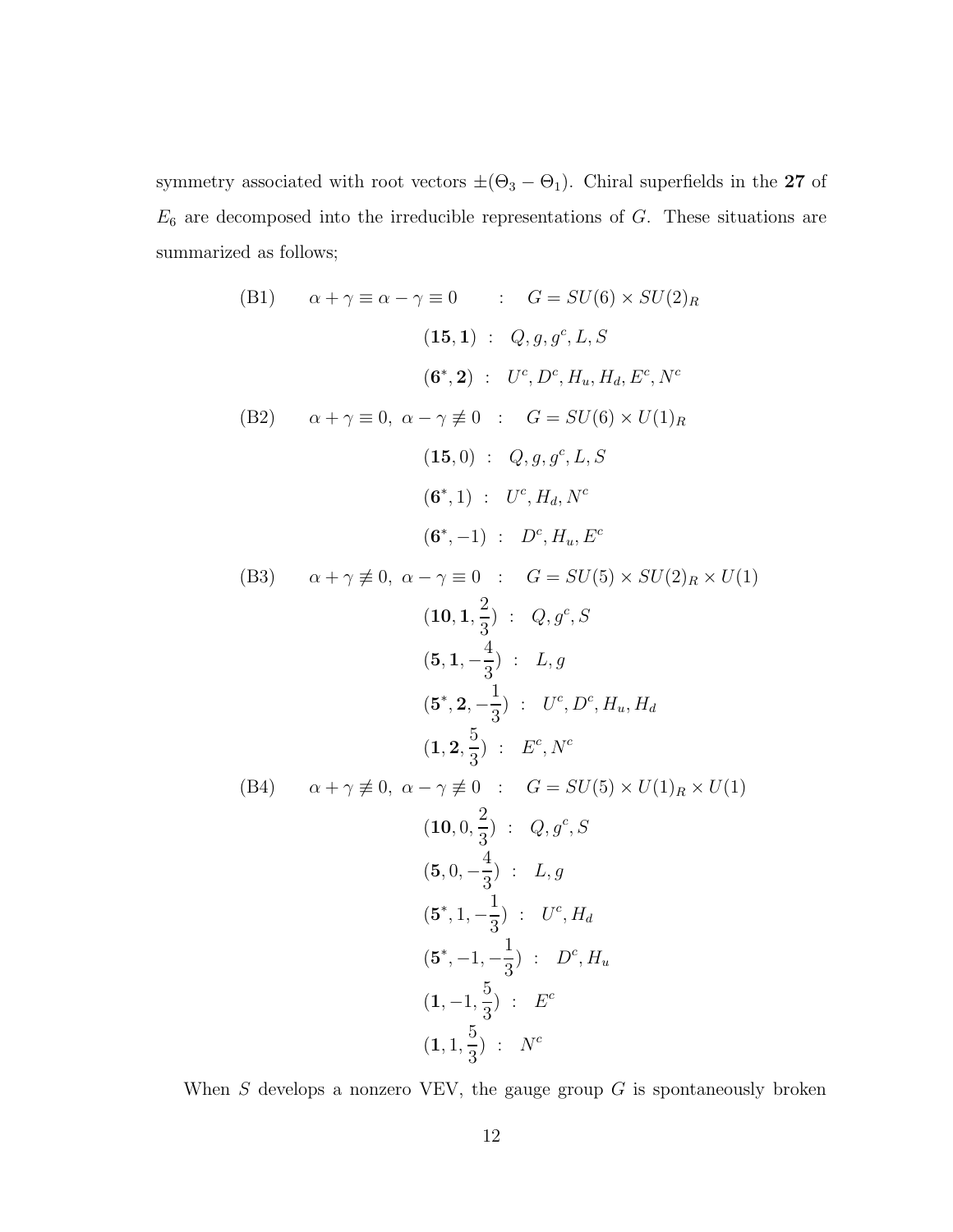<span id="page-12-0"></span>symmetry associated with root vectors  $\pm(\Theta_3-\Theta_1)$ . Chiral superfields in the 27 of  $E_6$  are decomposed into the irreducible representations of  $G$ . These situations are summarized as follows;

(B1) 
$$
\alpha + \gamma \equiv \alpha - \gamma \equiv 0
$$
 :  $G = SU(6) \times SU(2)_R$   
\n(15,1) :  $Q, g, g^c, L, S$   
\n(6<sup>\*</sup>,2) :  $U^c, D^c, H_u, H_d, E^c, N^c$   
\n(B2)  $\alpha + \gamma \equiv 0, \ \alpha - \gamma \neq 0$  :  $G = SU(6) \times U(1)_R$   
\n(15,0) :  $Q, g, g^c, L, S$   
\n(6<sup>\*</sup>,1) :  $U^c, H_d, N^c$   
\n(6<sup>\*</sup>,-1) :  $D^c, H_u, E^c$   
\n(B3)  $\alpha + \gamma \neq 0, \ \alpha - \gamma \equiv 0$  :  $G = SU(5) \times SU(2)_R \times U(1)$   
\n(10,1,  $\frac{2}{3}$ ) :  $Q, g^c, S$   
\n(5,1,  $-\frac{4}{3}$ ) :  $L, g$   
\n(5<sup>\*</sup>,2,  $-\frac{1}{3}$ ) :  $U^c, D^c, H_u, H_d$   
\n(1,2,  $\frac{5}{3}$ ) :  $E^c, N^c$   
\n(B4)  $\alpha + \gamma \neq 0, \ \alpha - \gamma \neq 0$  :  $G = SU(5) \times U(1)_R \times U(1)$   
\n(10,0,  $\frac{2}{3}$ ) :  $Q, g^c, S$   
\n(5,0,  $-\frac{4}{3}$ ) :  $L, g$   
\n(5<sup>\*</sup>,1,  $-\frac{1}{3}$ ) :  $U^c, H_d$   
\n(5<sup>\*</sup>,1,  $-\frac{1}{3}$ ) :  $U^c, H_d$   
\n(1, -1,  $\frac{5}{3}$ ) :  $E^c$   
\n(1, 1,  $\frac{5}{3}$ ) :  $N^c$ 

When  $S$  develops a nonzero VEV, the gauge group  $G$  is spontaneously broken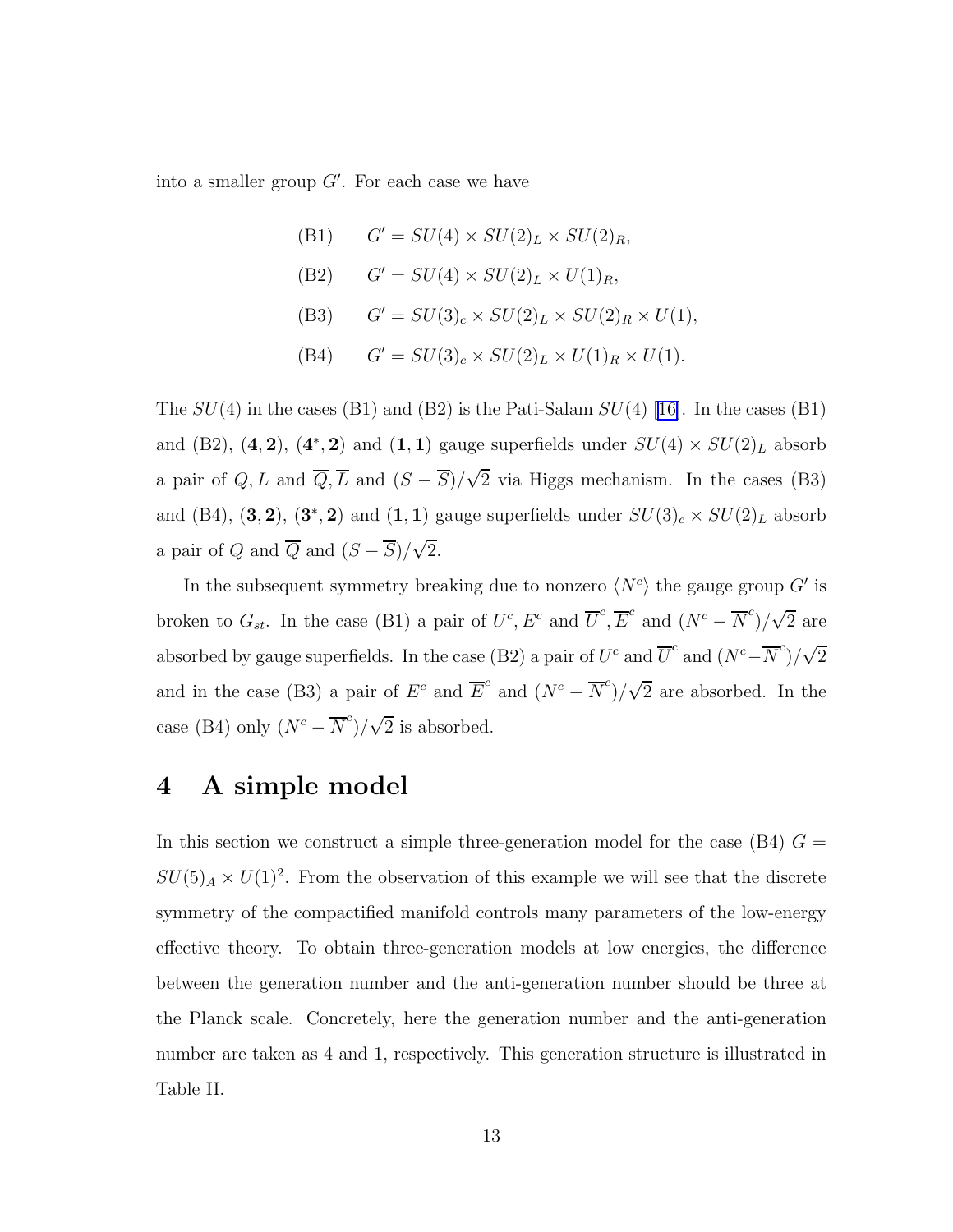into a smaller group  $G'$ . For each case we have

 $(B1)$  $G' = SU(4) \times SU(2)_L \times SU(2)_R$  $(B2)$  $G' = SU(4) \times SU(2)_L \times U(1)_R$  $(B3)$  $G' = SU(3)_c \times SU(2)_L \times SU(2)_R \times U(1),$  $(B4)$  $G' = SU(3)_c \times SU(2)_L \times U(1)_R \times U(1).$ 

The $SU(4)$  in the cases (B1) and (B2) is the Pati-Salam  $SU(4)$  [[16\]](#page-22-0). In the cases (B1) and (B2),  $(4, 2)$ ,  $(4^*, 2)$  and  $(1, 1)$  gauge superfields under  $SU(4) \times SU(2)_L$  absorb a pair of  $Q, L$  and  $\overline{Q}, \overline{L}$  and  $(S - \overline{S})/\sqrt{2}$  via Higgs mechanism. In the cases (B3) and (B4),  $(3, 2)$ ,  $(3^*, 2)$  and  $(1, 1)$  gauge superfields under  $SU(3)_c \times SU(2)_L$  absorb a pair of Q and  $\overline{Q}$  and  $(S - \overline{S})/\sqrt{2}$ .

In the subsequent symmetry breaking due to nonzero  $\langle N^c \rangle$  the gauge group  $G'$  is broken to  $G_{st}$ . In the case (B1) a pair of  $U^c$ ,  $E^c$  and  $\overline{U}^c$ ,  $\overline{E}^c$  and  $(N^c - \overline{N}^c)/\sqrt{2}$  are absorbed by gauge superfields. In the case (B2) a pair of  $U^c$  and  $\overline{U}^c$  and  $(N^c - \overline{N}^c)/\sqrt{2}$ and in the case (B3) a pair of  $E^c$  and  $\overline{E}^c$  and  $(N^c - \overline{N}^c)/\sqrt{2}$  are absorbed. In the case (B4) only  $(N^c - \overline{N}^c)/\sqrt{2}$  is absorbed.

## 4 A simple model

In this section we construct a simple three-generation model for the case (B4)  $G =$  $SU(5)_A \times U(1)^2$ . From the observation of this example we will see that the discrete symmetry of the compactified manifold controls many parameters of the low-energy effective theory. To obtain three-generation models at low energies, the difference between the generation number and the anti-generation number should be three at the Planck scale. Concretely, here the generation number and the anti-generation number are taken as 4 and 1, respectively. This generation structure is illustrated in Table II.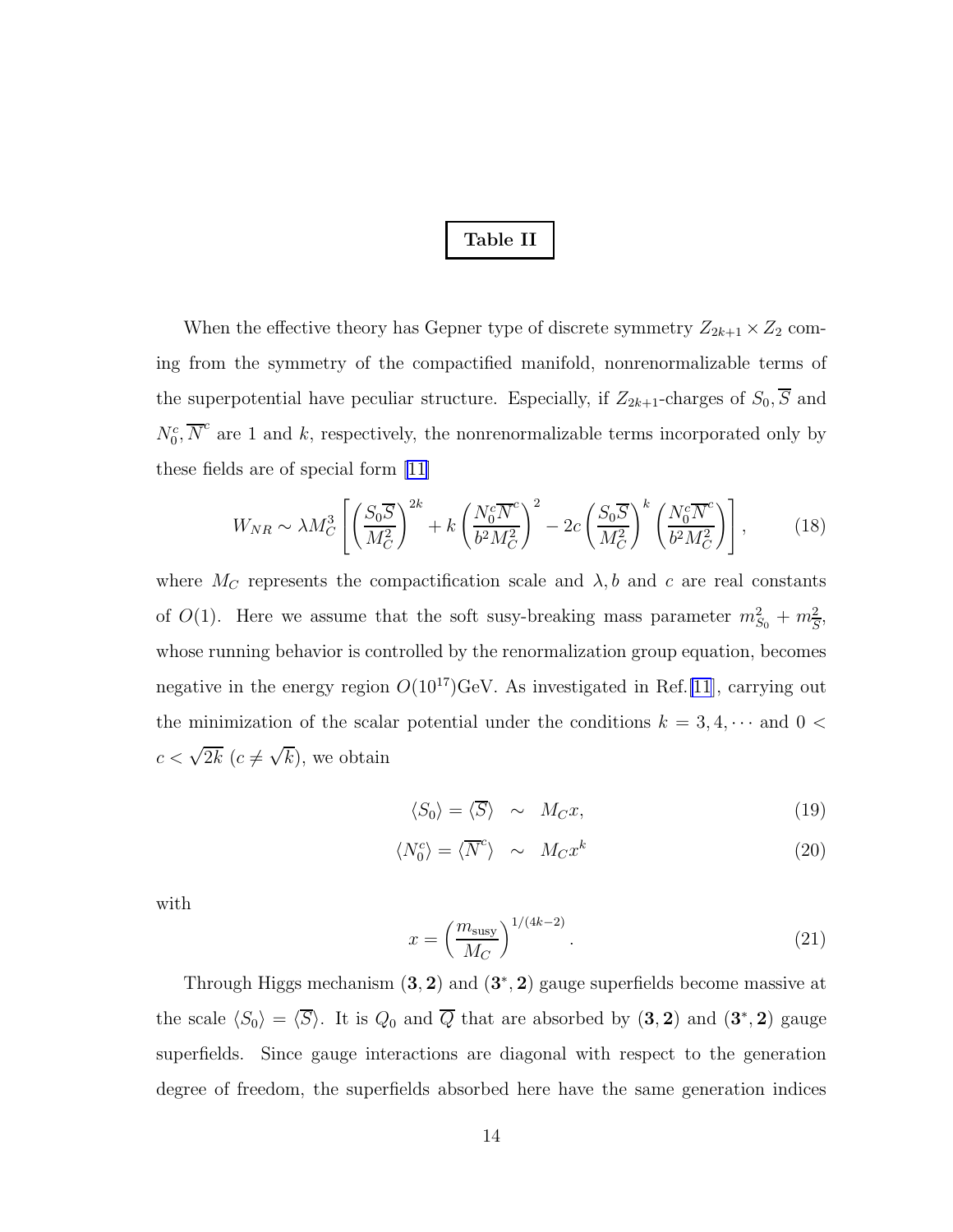### Table II

When the effective theory has Gepner type of discrete symmetry  $Z_{2k+1} \times Z_2$  coming from the symmetry of the compactified manifold, nonrenormalizable terms of the superpotential have peculiar structure. Especially, if  $Z_{2k+1}$ -charges of  $S_0$ ,  $\overline{S}$  and  $N_0^c$ ,  $\overline{N}^c$  are 1 and k, respectively, the nonrenormalizable terms incorporated only by these fields are of special form [\[11\]](#page-22-0)

$$
W_{NR} \sim \lambda M_C^3 \left[ \left( \frac{S_0 \overline{S}}{M_C^2} \right)^{2k} + k \left( \frac{N_0^c \overline{N}^c}{b^2 M_C^2} \right)^2 - 2c \left( \frac{S_0 \overline{S}}{M_C^2} \right)^k \left( \frac{N_0^c \overline{N}^c}{b^2 M_C^2} \right) \right],
$$
 (18)

where  $M_C$  represents the compactification scale and  $\lambda$ , b and c are real constants of  $O(1)$ . Here we assume that the soft susy-breaking mass parameter  $m_{S_0}^2 + m_{\overline{S}}^2$ , whose running behavior is controlled by the renormalization group equation, becomes negative in the energy region  $O(10^{17})$ GeV. As investigated in Ref.[\[11](#page-22-0)], carrying out the minimization of the scalar potential under the conditions  $k = 3, 4, \cdots$  and  $0 <$  $c < \sqrt{2k} \ (c \neq \sqrt{k}),$  we obtain

$$
\langle S_0 \rangle = \langle \overline{S} \rangle \sim M_C x,\tag{19}
$$

$$
\langle N_0^c \rangle = \langle \overline{N}^c \rangle \sim M_C x^k \tag{20}
$$

with

$$
x = \left(\frac{m_{\text{susy}}}{M_C}\right)^{1/(4k-2)}.\tag{21}
$$

Through Higgs mechanism  $(3, 2)$  and  $(3^*, 2)$  gauge superfields become massive at the scale  $\langle S_0 \rangle = \langle \overline{S} \rangle$ . It is  $Q_0$  and  $\overline{Q}$  that are absorbed by  $(3, 2)$  and  $(3^*, 2)$  gauge superfields. Since gauge interactions are diagonal with respect to the generation degree of freedom, the superfields absorbed here have the same generation indices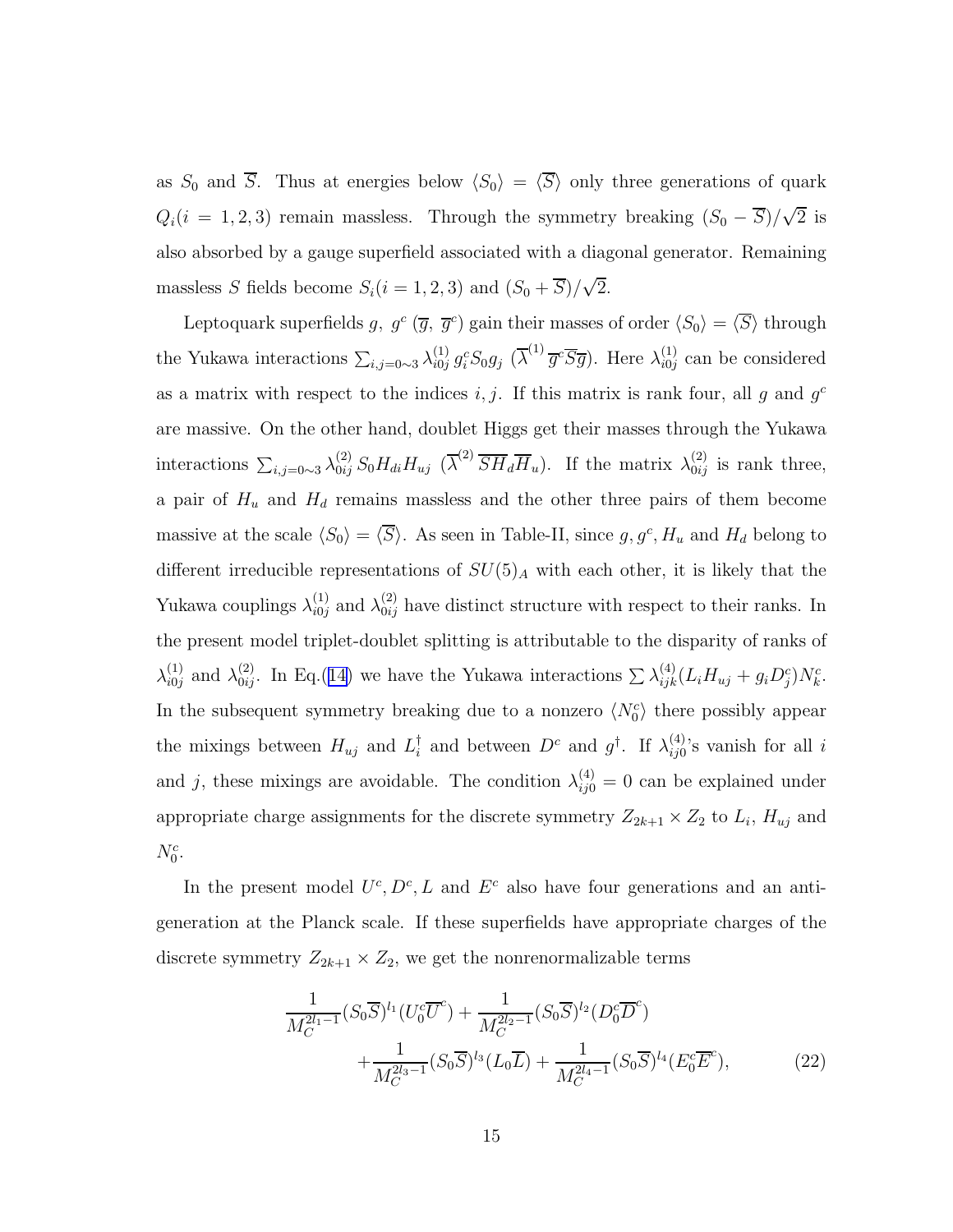as  $S_0$  and  $\overline{S}$ . Thus at energies below  $\langle S_0 \rangle = \langle \overline{S} \rangle$  only three generations of quark  $Q_i(i = 1, 2, 3)$  remain massless. Through the symmetry breaking  $(S_0 - \overline{S})/\sqrt{2}$  is also absorbed by a gauge superfield associated with a diagonal generator. Remaining massless S fields become  $S_i(i = 1, 2, 3)$  and  $(S_0 + \overline{S})/\sqrt{2}$ .

Leptoquark superfields g,  $g^c$   $(\overline{g}, \overline{g}^c)$  gain their masses of order  $\langle S_0 \rangle = \langle \overline{S} \rangle$  through the Yukawa interactions  $\sum_{i,j=0\sim 3}\lambda_{i0j}^{(1)} g_i^c S_0 g_j \; (\overline{\lambda}^{(1)} \overline{g}^c \overline{S} \overline{g}).$  Here  $\lambda_{i0j}^{(1)}$  $\binom{1}{i0j}$  can be considered as a matrix with respect to the indices  $i, j$ . If this matrix is rank four, all g and  $g<sup>c</sup>$ are massive. On the other hand, doublet Higgs get their masses through the Yukawa interactions  $\sum_{i,j=0} \lambda_{0ij}^{(2)} S_0 H_{di} H_{uj} (\overline{\lambda}^{(2)} \overline{S} \overline{H}_d \overline{H}_u)$ . If the matrix  $\lambda_{0ij}^{(2)}$  is rank three, a pair of  $H_u$  and  $H_d$  remains massless and the other three pairs of them become massive at the scale  $\langle S_0 \rangle = \langle \overline{S} \rangle$ . As seen in Table-II, since  $g, g^c, H_u$  and  $H_d$  belong to different irreducible representations of  $SU(5)_A$  with each other, it is likely that the Yukawa couplings  $\lambda_{i0j}^{(1)}$  and  $\lambda_{0ij}^{(2)}$  have distinct structure with respect to their ranks. In the present model triplet-doublet splitting is attributable to the disparity of ranks of  $\lambda_{i0j}^{(1)}$  and  $\lambda_{0ij}^{(2)}$ . In Eq.([14\)](#page-9-0) we have the Yukawa interactions  $\sum \lambda_{ijk}^{(4)} (L_i H_{uj} + g_i D_j^c) N_k^c$ . In the subsequent symmetry breaking due to a nonzero  $\langle N_0^c \rangle$  there possibly appear the mixings between  $H_{uj}$  and  $L_i^{\dagger}$  and between  $D^c$  and  $g^{\dagger}$ . If  $\lambda_{ij0}^{(4)}$  $i_{ij0}^{(4)}$ 's vanish for all i and j, these mixings are avoidable. The condition  $\lambda_{ij0}^{(4)} = 0$  can be explained under appropriate charge assignments for the discrete symmetry  $Z_{2k+1} \times Z_2$  to  $L_i$ ,  $H_{uj}$  and  $N_0^c$ .

In the present model  $U^c, D^c, L$  and  $E^c$  also have four generations and an antigeneration at the Planck scale. If these superfields have appropriate charges of the discrete symmetry  $Z_{2k+1} \times Z_2$ , we get the nonrenormalizable terms

$$
\frac{1}{M_C^{2l_1-1}}(S_0\overline{S})^{l_1}(U_0^c\overline{U}^c) + \frac{1}{M_C^{2l_2-1}}(S_0\overline{S})^{l_2}(D_0^c\overline{D}^c) \n+ \frac{1}{M_C^{2l_3-1}}(S_0\overline{S})^{l_3}(L_0\overline{L}) + \frac{1}{M_C^{2l_4-1}}(S_0\overline{S})^{l_4}(E_0^c\overline{E}^c),
$$
\n(22)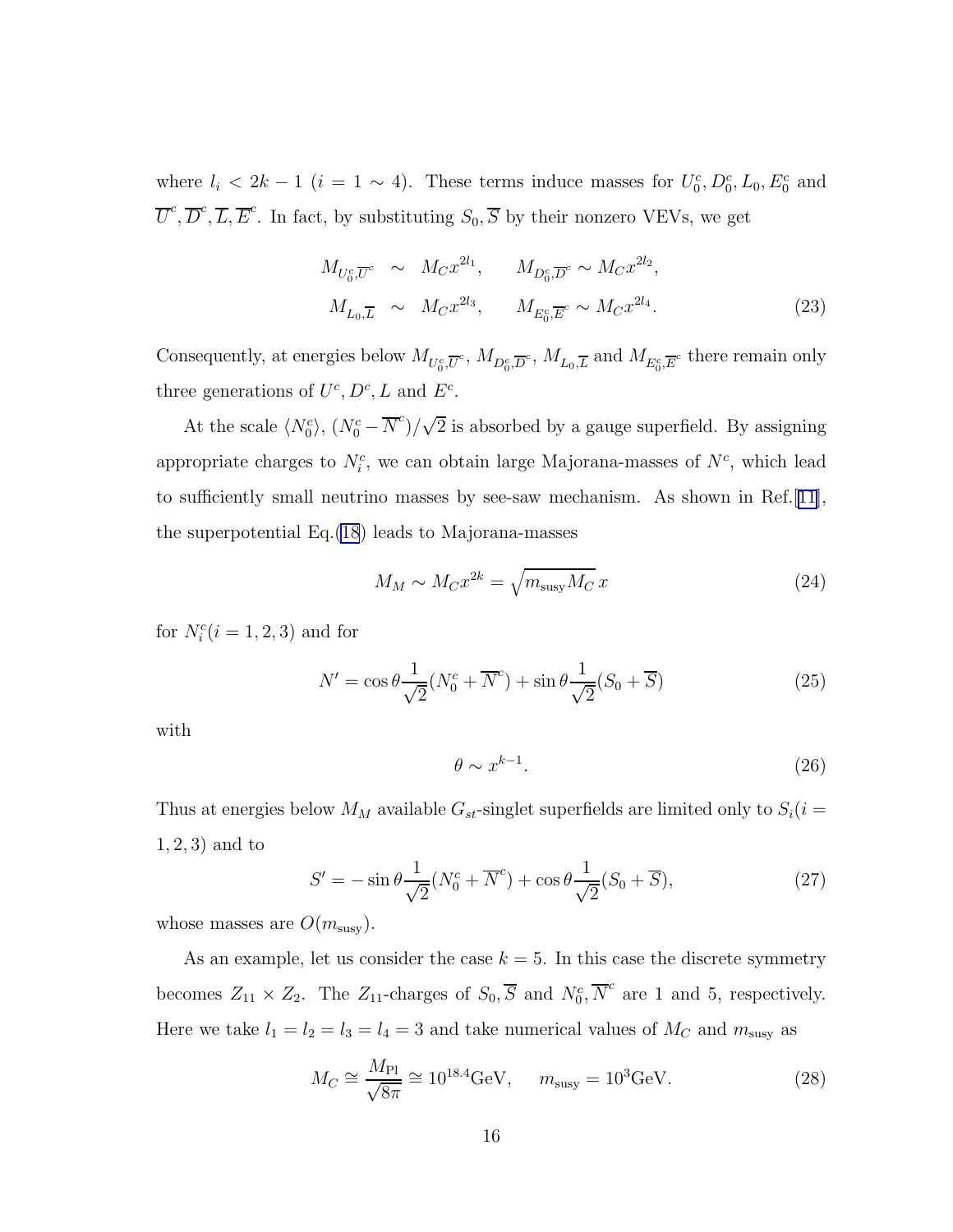where  $l_i < 2k - 1$  ( $i = 1 \sim 4$ ). These terms induce masses for  $U_0^c, D_0^c, L_0, E_0^c$  and  $\overline{U}^c$ ,  $\overline{D}^c$ ,  $\overline{L}$ ,  $\overline{E}^c$ . In fact, by substituting  $S_0$ ,  $\overline{S}$  by their nonzero VEVs, we get

$$
M_{U_0^c, \overline{U}^c} \sim M_C x^{2l_1}, \qquad M_{D_0^c, \overline{D}^c} \sim M_C x^{2l_2},
$$
  

$$
M_{L_0, \overline{L}} \sim M_C x^{2l_3}, \qquad M_{E_0^c, \overline{E}^c} \sim M_C x^{2l_4}.
$$
 (23)

Consequently, at energies below  $M_{U_0^c, \overline{U}^c}$ ,  $M_{D_0^c, \overline{D}^c}$ ,  $M_{L_0, \overline{L}}$  and  $M_{E_0^c, \overline{E}^c}$  there remain only three generations of  $U^c, D^c, L$  and  $E^c$ .

At the scale  $\langle N_0^c \rangle$ ,  $(N_0^c - \overline{N}^c)/\sqrt{2}$  is absorbed by a gauge superfield. By assigning appropriate charges to  $N_i^c$ , we can obtain large Majorana-masses of  $N^c$ , which lead to sufficiently small neutrino masses by see-saw mechanism. As shown in Ref.[\[11\]](#page-22-0), the superpotential Eq.[\(18](#page-12-0)) leads to Majorana-masses

$$
M_M \sim M_C x^{2k} = \sqrt{m_{\text{susy}} M_C} x \tag{24}
$$

for  $N_i^c$ ( $i = 1, 2, 3$ ) and for

$$
N' = \cos\theta \frac{1}{\sqrt{2}} (N_0^c + \overline{N}^c) + \sin\theta \frac{1}{\sqrt{2}} (S_0 + \overline{S})
$$
\n(25)

with

$$
\theta \sim x^{k-1}.\tag{26}
$$

Thus at energies below  $M_M$  available  $G_{st}$ -singlet superfields are limited only to  $S_i(i =$ 1, 2, 3) and to

$$
S' = -\sin\theta \frac{1}{\sqrt{2}} (N_0^c + \overline{N}^c) + \cos\theta \frac{1}{\sqrt{2}} (S_0 + \overline{S}), \qquad (27)
$$

whose masses are  $O(m_{\text{susy}})$ .

As an example, let us consider the case  $k = 5$ . In this case the discrete symmetry becomes  $Z_{11} \times Z_2$ . The  $Z_{11}$ -charges of  $S_0$ ,  $\overline{S}$  and  $N_0^c$ ,  $\overline{N}^c$  are 1 and 5, respectively. Here we take  $l_1 = l_2 = l_3 = l_4 = 3$  and take numerical values of  $M_C$  and  $m_{\text{susy}}$  as

$$
M_C \cong \frac{M_{\rm Pl}}{\sqrt{8\pi}} \cong 10^{18.4} \text{GeV}, \quad m_{\text{susy}} = 10^3 \text{GeV}.
$$
 (28)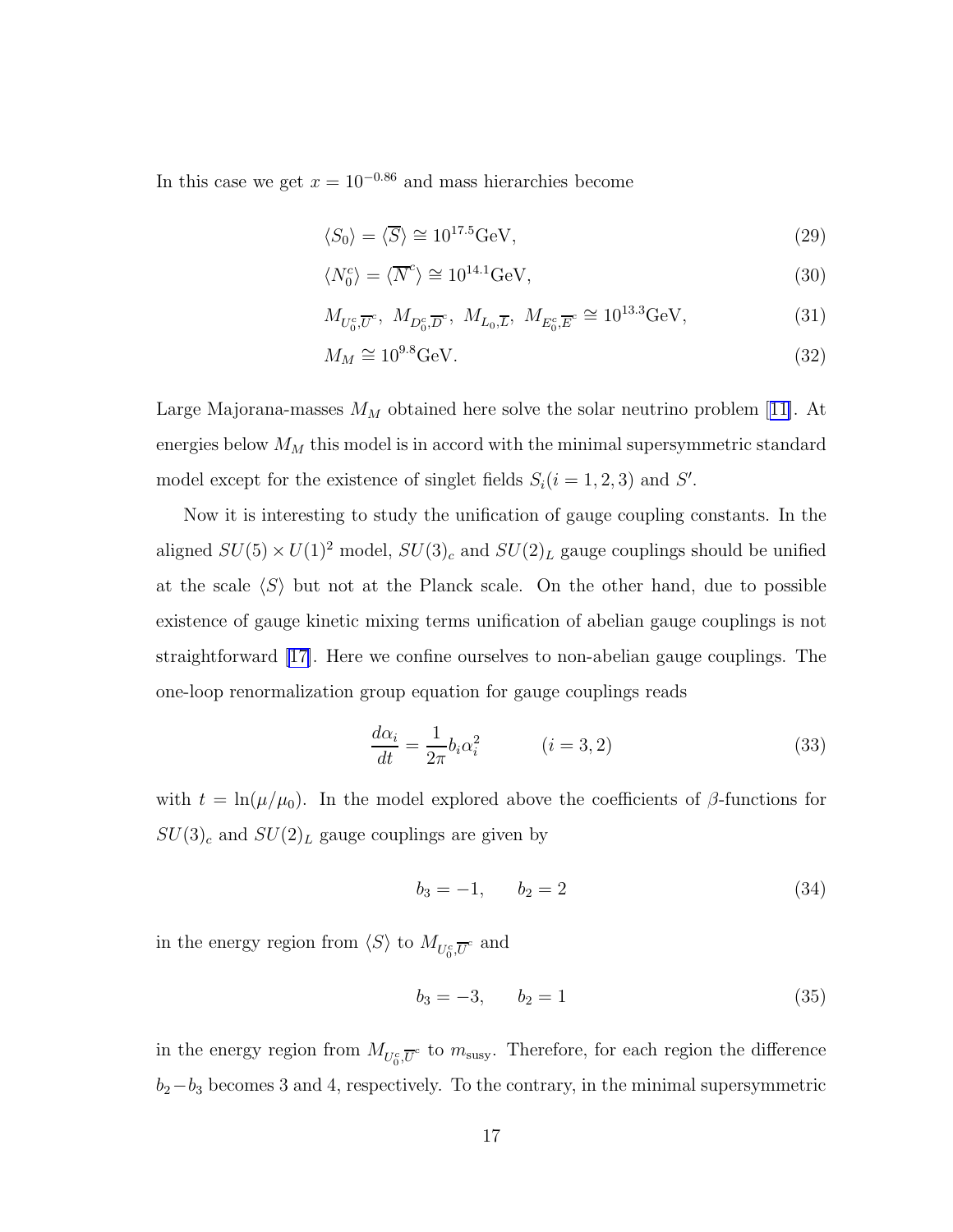In this case we get  $x = 10^{-0.86}$  and mass hierarchies become

$$
\langle S_0 \rangle = \langle \overline{S} \rangle \cong 10^{17.5} \text{GeV},\tag{29}
$$

$$
\langle N_0^c \rangle = \langle \overline{N}^c \rangle \cong 10^{14.1} \text{GeV},\tag{30}
$$

$$
M_{U_0^c, \overline{U}^c}, \ M_{D_0^c, \overline{D}^c}, \ M_{L_0, \overline{L}}, \ M_{E_0^c, \overline{E}^c} \cong 10^{13.3} \text{GeV},\tag{31}
$$

$$
M_M \cong 10^{9.8} \text{GeV}.\tag{32}
$$

LargeMajorana-masses  $M_M$  obtained here solve the solar neutrino problem [[11\]](#page-22-0). At energies below  $M_M$  this model is in accord with the minimal supersymmetric standard model except for the existence of singlet fields  $S_i(i = 1, 2, 3)$  and  $S'$ .

Now it is interesting to study the unification of gauge coupling constants. In the aligned  $SU(5) \times U(1)^2$  model,  $SU(3)_c$  and  $SU(2)_L$  gauge couplings should be unified at the scale  $\langle S \rangle$  but not at the Planck scale. On the other hand, due to possible existence of gauge kinetic mixing terms unification of abelian gauge couplings is not straightforward [\[17\]](#page-22-0). Here we confine ourselves to non-abelian gauge couplings. The one-loop renormalization group equation for gauge couplings reads

$$
\frac{d\alpha_i}{dt} = \frac{1}{2\pi} b_i \alpha_i^2 \qquad (i = 3, 2)
$$
\n(33)

with  $t = \ln(\mu/\mu_0)$ . In the model explored above the coefficients of  $\beta$ -functions for  $SU(3)_c$  and  $SU(2)_L$  gauge couplings are given by

$$
b_3 = -1, \qquad b_2 = 2 \tag{34}
$$

in the energy region from  $\langle S \rangle$  to  $M_{U_0^c, \overline{U}^c}$  and

$$
b_3 = -3, \qquad b_2 = 1 \tag{35}
$$

in the energy region from  $M_{U_0^c, \overline{U}^c}$  to  $m_{\text{susy}}$ . Therefore, for each region the difference  $b_2-b_3$  becomes 3 and 4, respectively. To the contrary, in the minimal supersymmetric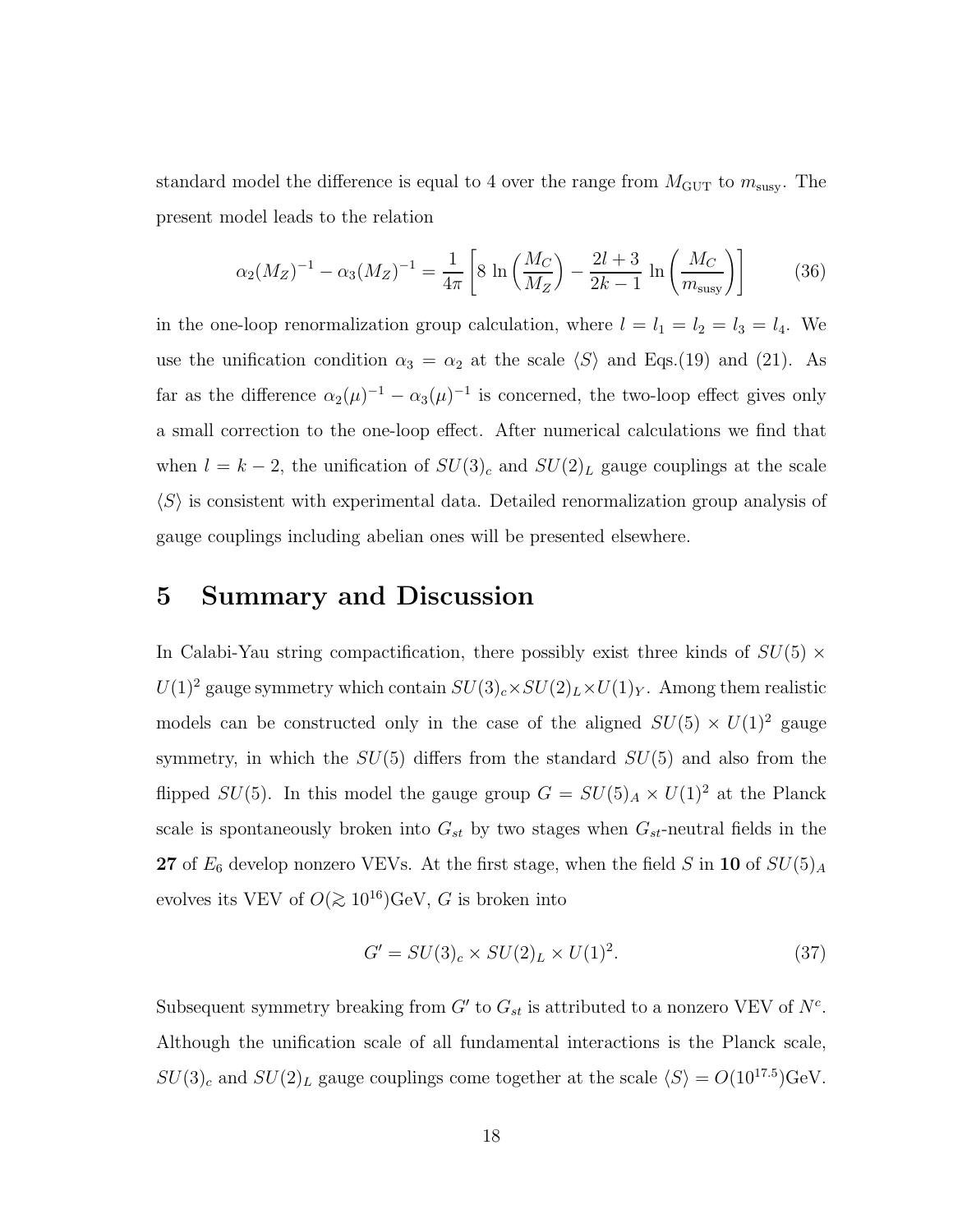standard model the difference is equal to 4 over the range from  $M_{\rm GUT}$  to  $m_{\rm susy}.$  The present model leads to the relation

$$
\alpha_2(M_Z)^{-1} - \alpha_3(M_Z)^{-1} = \frac{1}{4\pi} \left[ 8 \ln \left( \frac{M_C}{M_Z} \right) - \frac{2l+3}{2k-1} \ln \left( \frac{M_C}{m_{\text{susy}}} \right) \right]
$$
(36)

in the one-loop renormalization group calculation, where  $l = l_1 = l_2 = l_3 = l_4$ . We use the unification condition  $\alpha_3 = \alpha_2$  at the scale  $\langle S \rangle$  and Eqs.(19) and (21). As far as the difference  $\alpha_2(\mu)^{-1} - \alpha_3(\mu)^{-1}$  is concerned, the two-loop effect gives only a small correction to the one-loop effect. After numerical calculations we find that when  $l = k - 2$ , the unification of  $SU(3)_c$  and  $SU(2)_L$  gauge couplings at the scale  $\langle S \rangle$  is consistent with experimental data. Detailed renormalization group analysis of gauge couplings including abelian ones will be presented elsewhere.

## 5 Summary and Discussion

In Calabi-Yau string compactification, there possibly exist three kinds of  $SU(5)$  ×  $U(1)^2$  gauge symmetry which contain  $SU(3)_c\times SU(2)_L\times U(1)_Y$  . Among them realistic models can be constructed only in the case of the aligned  $SU(5) \times U(1)^2$  gauge symmetry, in which the  $SU(5)$  differs from the standard  $SU(5)$  and also from the flipped  $SU(5)$ . In this model the gauge group  $G = SU(5)_A \times U(1)^2$  at the Planck scale is spontaneously broken into  $G_{st}$  by two stages when  $G_{st}$ -neutral fields in the 27 of  $E_6$  develop nonzero VEVs. At the first stage, when the field S in 10 of  $SU(5)_A$ evolves its VEV of  $O(\gtrsim 10^{16}){\rm GeV},\,G$  is broken into

$$
G' = SU(3)_c \times SU(2)_L \times U(1)^2. \tag{37}
$$

Subsequent symmetry breaking from  $G'$  to  $G_{st}$  is attributed to a nonzero VEV of  $N^c$ . Although the unification scale of all fundamental interactions is the Planck scale,  $SU(3)_c$  and  $SU(2)_L$  gauge couplings come together at the scale  $\langle S \rangle = O(10^{17.5})$ GeV.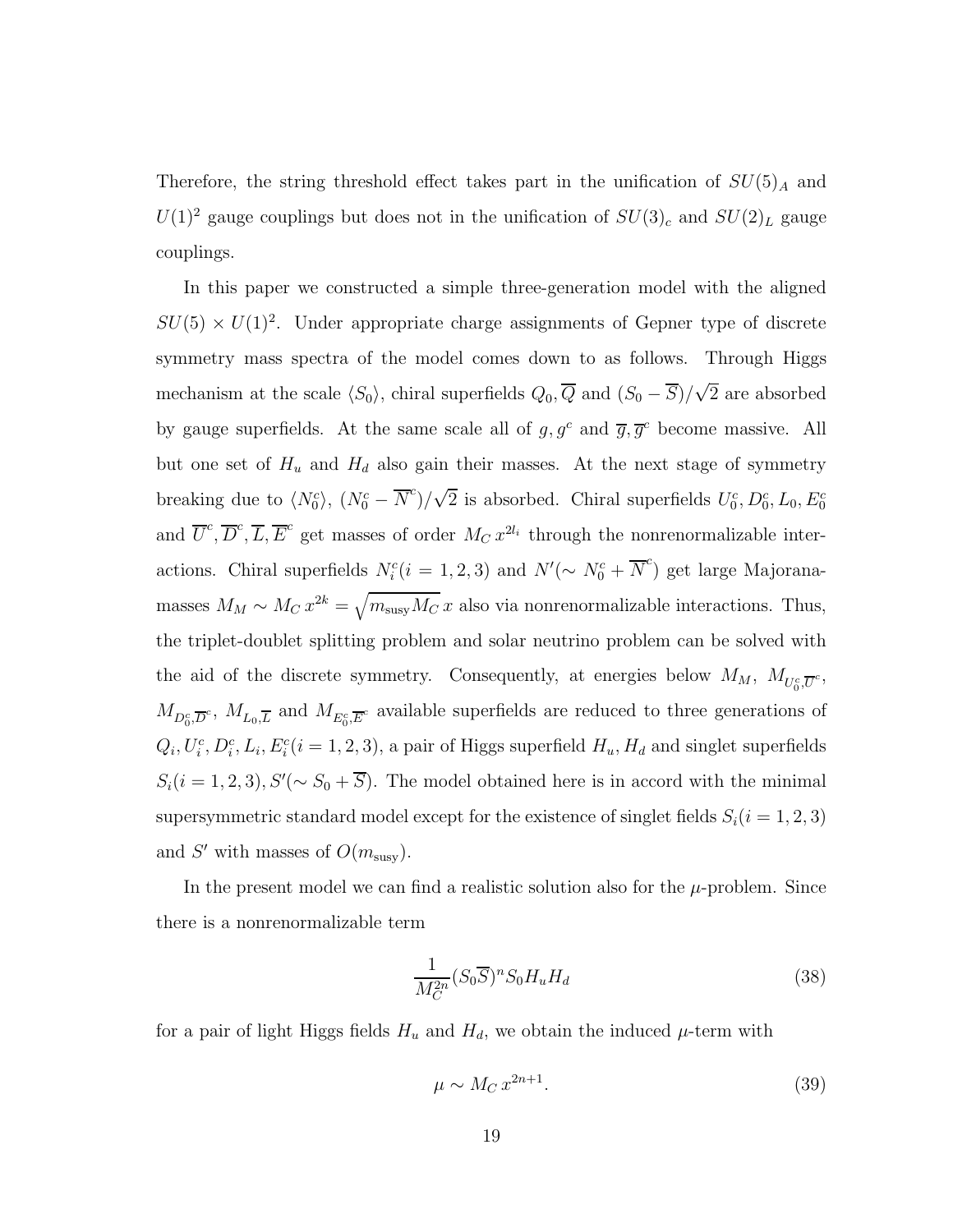Therefore, the string threshold effect takes part in the unification of  $SU(5)_A$  and  $U(1)^2$  gauge couplings but does not in the unification of  $SU(3)_c$  and  $SU(2)_L$  gauge couplings.

In this paper we constructed a simple three-generation model with the aligned  $SU(5) \times U(1)^2$ . Under appropriate charge assignments of Gepner type of discrete symmetry mass spectra of the model comes down to as follows. Through Higgs mechanism at the scale  $\langle S_0 \rangle$ , chiral superfields  $Q_0$ ,  $\overline{Q}$  and  $(S_0 - \overline{S})/\sqrt{2}$  are absorbed by gauge superfields. At the same scale all of  $g, g^c$  and  $\overline{g}, \overline{g}^c$  become massive. All but one set of  $H_u$  and  $H_d$  also gain their masses. At the next stage of symmetry breaking due to  $\langle N_0^c \rangle$ ,  $(N_0^c - \overline{N}^c)/\sqrt{2}$  is absorbed. Chiral superfields  $U_0^c, D_0^c, L_0, E_0^c$ and  $\overline{U}^c$ ,  $\overline{D}^c$ ,  $\overline{L}$ ,  $\overline{E}^c$  get masses of order  $M_C x^{2l_i}$  through the nonrenormalizable interactions. Chiral superfields  $N_i^c(i = 1, 2, 3)$  and  $N'(\sim N_0^c + \overline{N}^c)$  get large Majoranamasses  $M_M \sim M_C x^{2k} = \sqrt{m_{\text{susy}}M_C} x$  also via nonrenormalizable interactions. Thus, the triplet-doublet splitting problem and solar neutrino problem can be solved with the aid of the discrete symmetry. Consequently, at energies below  $M_M$ ,  $M_{U_0^c, \overline{U}^c}$ ,  $M_{D_0^c, \overline{D}^c}$ ,  $M_{L_0, \overline{L}}$  and  $M_{E_0^c, \overline{E}^c}$  available superfields are reduced to three generations of  $Q_i, U_i^c, D_i^c, L_i, E_i^c (i = 1, 2, 3)$ , a pair of Higgs superfield  $H_u, H_d$  and singlet superfields  $S_i(i = 1, 2, 3), S'(\sim S_0 + \overline{S})$ . The model obtained here is in accord with the minimal supersymmetric standard model except for the existence of singlet fields  $S_i(i = 1, 2, 3)$ and  $S'$  with masses of  $O(m_{\text{susy}})$ .

In the present model we can find a realistic solution also for the  $\mu$ -problem. Since there is a nonrenormalizable term

$$
\frac{1}{M_C^{2n}} (S_0 \overline{S})^n S_0 H_u H_d \tag{38}
$$

for a pair of light Higgs fields  $H_u$  and  $H_d$ , we obtain the induced  $\mu$ -term with

$$
\mu \sim M_C \, x^{2n+1}.\tag{39}
$$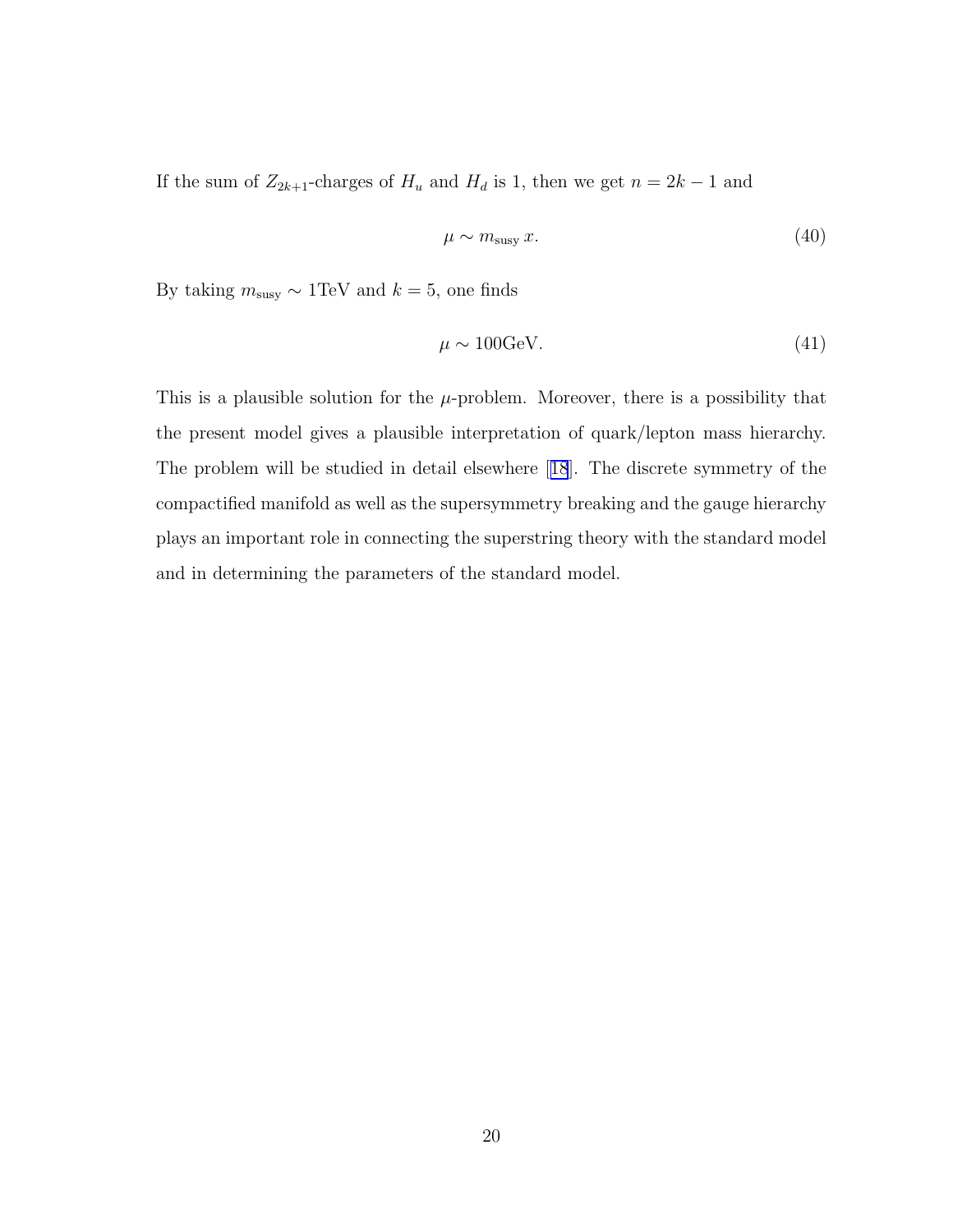If the sum of  $Z_{2k+1}$ -charges of  $H_u$  and  $H_d$  is 1, then we get  $n = 2k - 1$  and

$$
\mu \sim m_{\text{susy}} \, x. \tag{40}
$$

By taking  $m_{\rm susy} \sim 1\text{TeV}$  and  $k=5,$  one finds

$$
\mu \sim 100 \text{GeV}.\tag{41}
$$

This is a plausible solution for the  $\mu$ -problem. Moreover, there is a possibility that the present model gives a plausible interpretation of quark/lepton mass hierarchy. The problem will be studied in detail elsewhere[[18](#page-22-0)]. The discrete symmetry of the compactified manifold as well as the supersymmetry breaking and the gauge hierarchy plays an important role in connecting the superstring theory with the standard model and in determining the parameters of the standard model.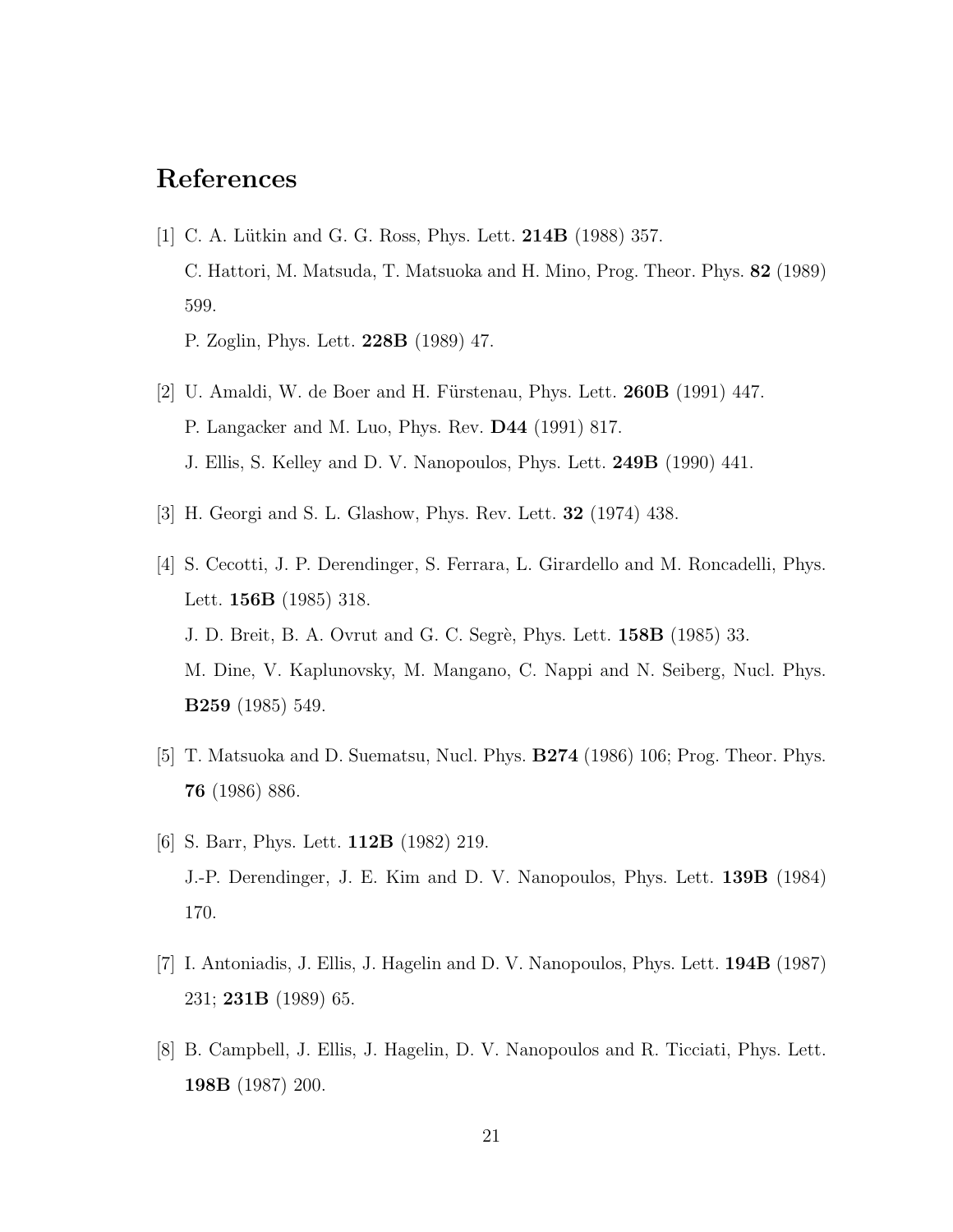# <span id="page-21-0"></span>References

[1] C. A. Lütkin and G. G. Ross, Phys. Lett. **214B** (1988) 357. C. Hattori, M. Matsuda, T. Matsuoka and H. Mino, Prog. Theor. Phys. 82 (1989) 599.

P. Zoglin, Phys. Lett. 228B (1989) 47.

- [2] U. Amaldi, W. de Boer and H. Fürstenau, Phys. Lett. **260B** (1991) 447. P. Langacker and M. Luo, Phys. Rev. D44 (1991) 817. J. Ellis, S. Kelley and D. V. Nanopoulos, Phys. Lett. 249B (1990) 441.
- [3] H. Georgi and S. L. Glashow, Phys. Rev. Lett. 32 (1974) 438.
- [4] S. Cecotti, J. P. Derendinger, S. Ferrara, L. Girardello and M. Roncadelli, Phys. Lett. 156B (1985) 318. J. D. Breit, B. A. Ovrut and G. C. Segrè, Phys. Lett. **158B** (1985) 33. M. Dine, V. Kaplunovsky, M. Mangano, C. Nappi and N. Seiberg, Nucl. Phys. B259 (1985) 549.
- [5] T. Matsuoka and D. Suematsu, Nucl. Phys. B274 (1986) 106; Prog. Theor. Phys. 76 (1986) 886.
- [6] S. Barr, Phys. Lett. 112B (1982) 219. J.-P. Derendinger, J. E. Kim and D. V. Nanopoulos, Phys. Lett. 139B (1984) 170.
- [7] I. Antoniadis, J. Ellis, J. Hagelin and D. V. Nanopoulos, Phys. Lett. 194B (1987) 231; 231B (1989) 65.
- [8] B. Campbell, J. Ellis, J. Hagelin, D. V. Nanopoulos and R. Ticciati, Phys. Lett. 198B (1987) 200.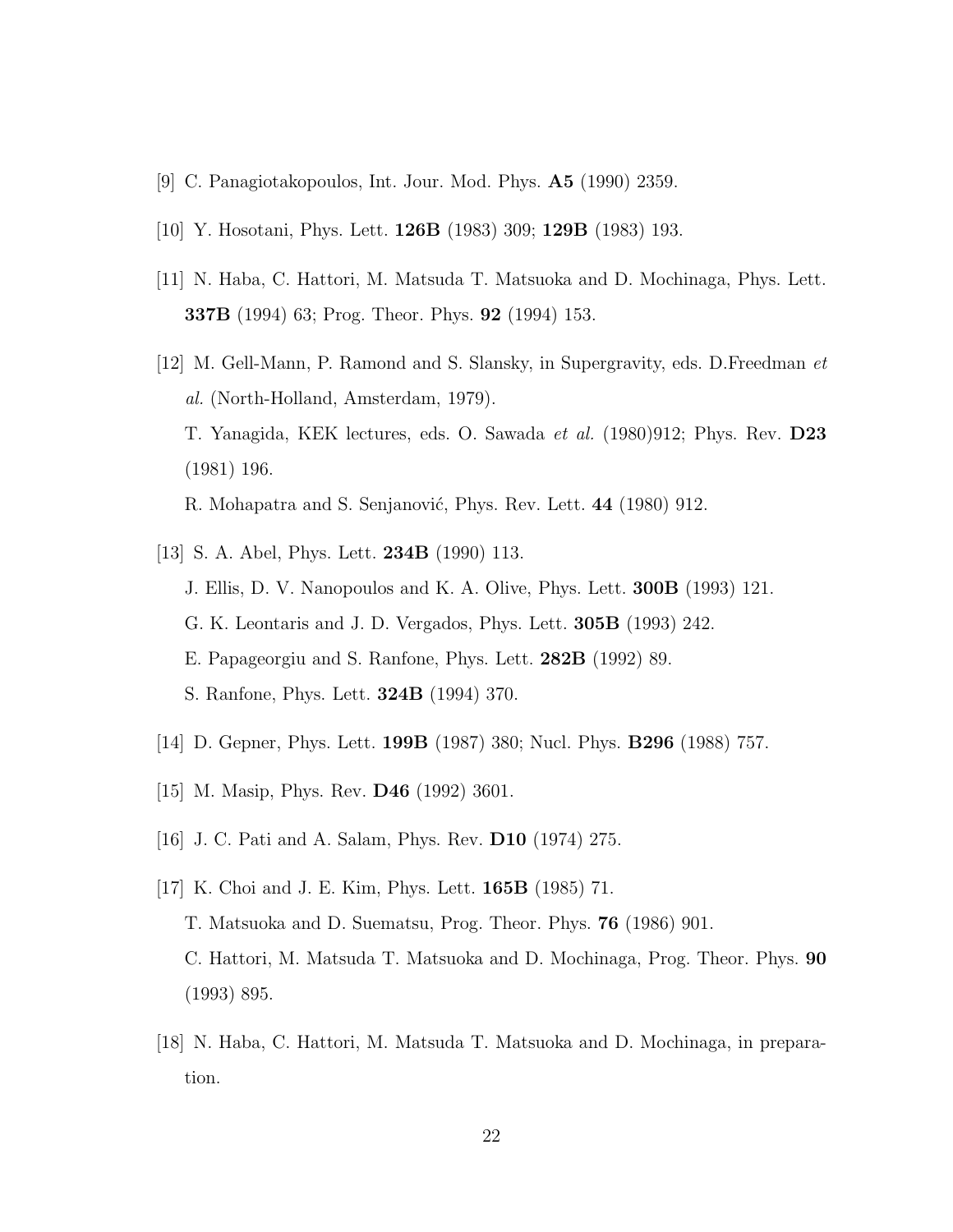- <span id="page-22-0"></span>[9] C. Panagiotakopoulos, Int. Jour. Mod. Phys. A5 (1990) 2359.
- [10] Y. Hosotani, Phys. Lett. 126B (1983) 309; 129B (1983) 193.
- [11] N. Haba, C. Hattori, M. Matsuda T. Matsuoka and D. Mochinaga, Phys. Lett. 337B (1994) 63; Prog. Theor. Phys. 92 (1994) 153.
- [12] M. Gell-Mann, P. Ramond and S. Slansky, in Supergravity, eds. D.Freedman et al. (North-Holland, Amsterdam, 1979). T. Yanagida, KEK lectures, eds. O. Sawada et al. (1980)912; Phys. Rev. D23 (1981) 196. R. Mohapatra and S. Senjanović, Phys. Rev. Lett. 44 (1980) 912.
- [13] S. A. Abel, Phys. Lett. 234B (1990) 113. J. Ellis, D. V. Nanopoulos and K. A. Olive, Phys. Lett. 300B (1993) 121. G. K. Leontaris and J. D. Vergados, Phys. Lett. 305B (1993) 242. E. Papageorgiu and S. Ranfone, Phys. Lett. 282B (1992) 89. S. Ranfone, Phys. Lett. 324B (1994) 370.
- [14] D. Gepner, Phys. Lett. 199B (1987) 380; Nucl. Phys. B296 (1988) 757.
- [15] M. Masip, Phys. Rev. **D46** (1992) 3601.
- [16] J. C. Pati and A. Salam, Phys. Rev. D10 (1974) 275.
- [17] K. Choi and J. E. Kim, Phys. Lett. 165B (1985) 71. T. Matsuoka and D. Suematsu, Prog. Theor. Phys. 76 (1986) 901. C. Hattori, M. Matsuda T. Matsuoka and D. Mochinaga, Prog. Theor. Phys. 90 (1993) 895.
- [18] N. Haba, C. Hattori, M. Matsuda T. Matsuoka and D. Mochinaga, in preparation.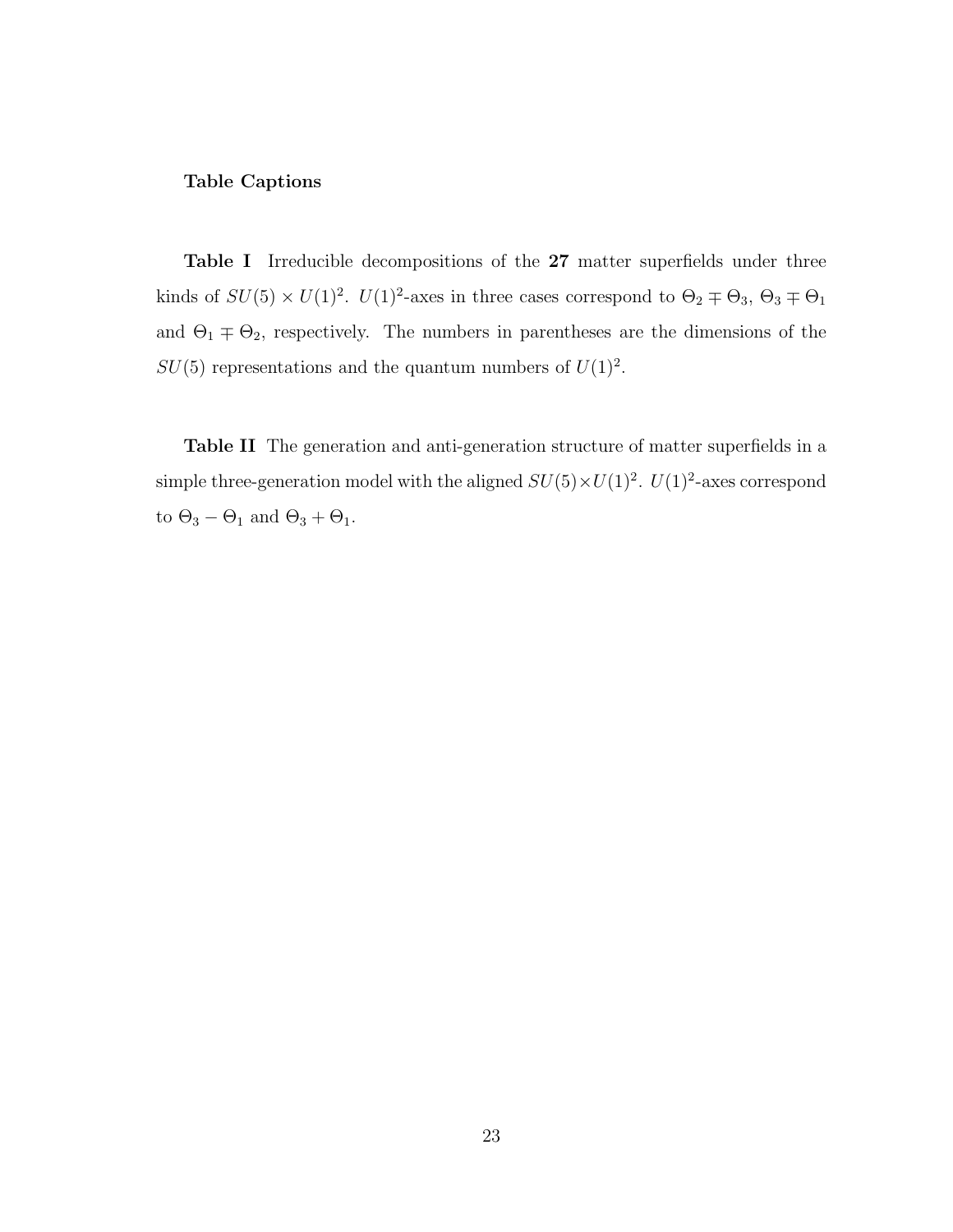#### Table Captions

Table I Irreducible decompositions of the 27 matter superfields under three kinds of  $SU(5) \times U(1)^2$ .  $U(1)^2$ -axes in three cases correspond to  $\Theta_2 \mp \Theta_3$ ,  $\Theta_3 \mp \Theta_1$ and  $\Theta_1 \mp \Theta_2$ , respectively. The numbers in parentheses are the dimensions of the  $SU(5)$  representations and the quantum numbers of  $U(1)^2$ .

Table II The generation and anti-generation structure of matter superfields in a simple three-generation model with the aligned  $SU(5)\times U(1)^2$ .  $U(1)^2$ -axes correspond to  $\Theta_3-\Theta_1$  and  $\Theta_3+\Theta_1.$